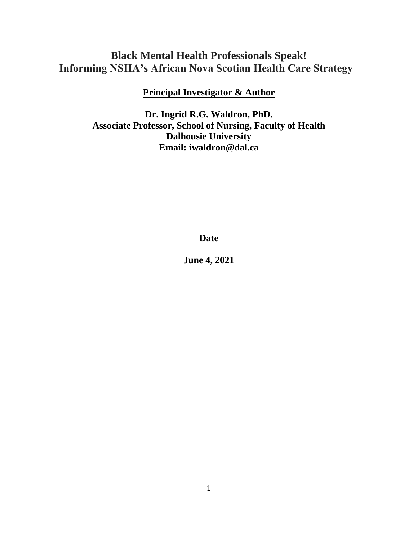# **Black Mental Health Professionals Speak! Informing NSHA's African Nova Scotian Health Care Strategy**

# **Principal Investigator & Author**

**Dr. Ingrid R.G. Waldron, PhD. Associate Professor, School of Nursing, Faculty of Health Dalhousie University Email: iwaldron@dal.ca**

# **Date**

**June 4, 2021**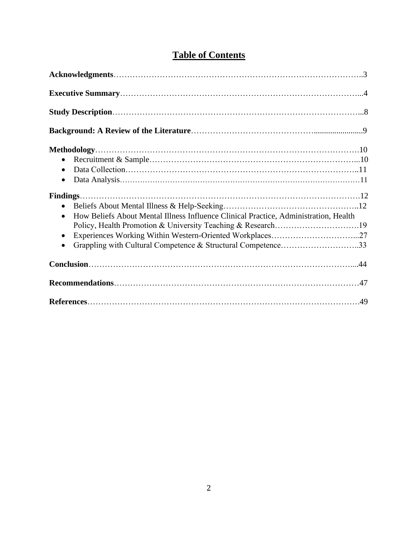| $\bullet$<br>$\bullet$<br>$\bullet$                                                                                                                                                                                                                        |  |
|------------------------------------------------------------------------------------------------------------------------------------------------------------------------------------------------------------------------------------------------------------|--|
| How Beliefs About Mental Illness Influence Clinical Practice, Administration, Health<br>$\bullet$<br>Policy, Health Promotion & University Teaching & Research19<br>$\bullet$<br>Grappling with Cultural Competence & Structural Competence33<br>$\bullet$ |  |
|                                                                                                                                                                                                                                                            |  |
|                                                                                                                                                                                                                                                            |  |
|                                                                                                                                                                                                                                                            |  |

# **Table of Contents**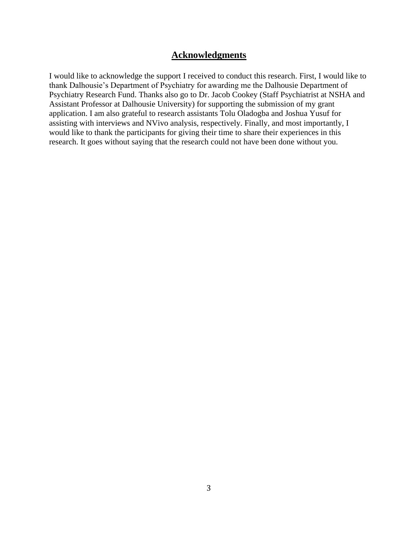## **Acknowledgments**

I would like to acknowledge the support I received to conduct this research. First, I would like to thank Dalhousie's Department of Psychiatry for awarding me the Dalhousie Department of Psychiatry Research Fund. Thanks also go to Dr. Jacob Cookey (Staff Psychiatrist at NSHA and Assistant Professor at Dalhousie University) for supporting the submission of my grant application. I am also grateful to research assistants Tolu Oladogba and Joshua Yusuf for assisting with interviews and NVivo analysis, respectively. Finally, and most importantly, I would like to thank the participants for giving their time to share their experiences in this research. It goes without saying that the research could not have been done without you.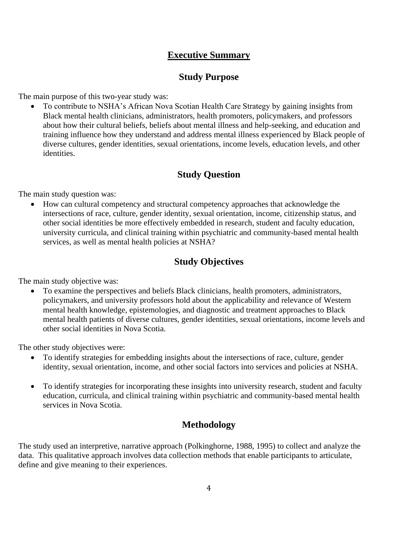# **Executive Summary**

# **Study Purpose**

The main purpose of this two-year study was:

• To contribute to NSHA's African Nova Scotian Health Care Strategy by gaining insights from Black mental health clinicians, administrators, health promoters, policymakers, and professors about how their cultural beliefs, beliefs about mental illness and help-seeking, and education and training influence how they understand and address mental illness experienced by Black people of diverse cultures, gender identities, sexual orientations, income levels, education levels, and other identities.

# **Study Question**

The main study question was:

• How can cultural competency and structural competency approaches that acknowledge the intersections of race, culture, gender identity, sexual orientation, income, citizenship status, and other social identities be more effectively embedded in research, student and faculty education, university curricula, and clinical training within psychiatric and community-based mental health services, as well as mental health policies at NSHA?

# **Study Objectives**

The main study objective was:

• To examine the perspectives and beliefs Black clinicians, health promoters, administrators, policymakers, and university professors hold about the applicability and relevance of Western mental health knowledge, epistemologies, and diagnostic and treatment approaches to Black mental health patients of diverse cultures, gender identities, sexual orientations, income levels and other social identities in Nova Scotia.

The other study objectives were:

- To identify strategies for embedding insights about the intersections of race, culture, gender identity, sexual orientation, income, and other social factors into services and policies at NSHA.
- To identify strategies for incorporating these insights into university research, student and faculty education, curricula, and clinical training within psychiatric and community-based mental health services in Nova Scotia.

# **Methodology**

The study used an interpretive, narrative approach (Polkinghorne, 1988, 1995) to collect and analyze the data. This qualitative approach involves data collection methods that enable participants to articulate, define and give meaning to their experiences.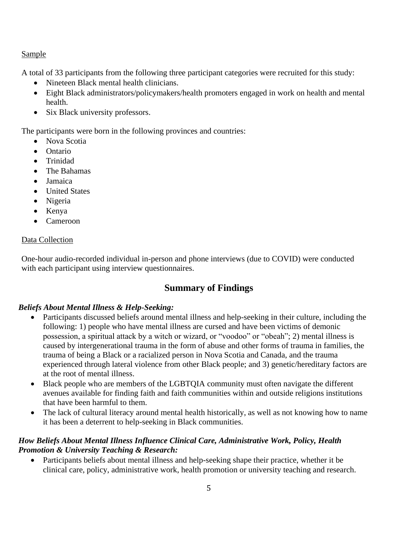### Sample

A total of 33 participants from the following three participant categories were recruited for this study:

- Nineteen Black mental health clinicians.
- Eight Black administrators/policymakers/health promoters engaged in work on health and mental health.
- Six Black university professors.

The participants were born in the following provinces and countries:

- Nova Scotia
- Ontario
- Trinidad
- The Bahamas
- Jamaica
- United States
- Nigeria
- Kenya
- Cameroon

### Data Collection

One-hour audio-recorded individual in-person and phone interviews (due to COVID) were conducted with each participant using interview questionnaires.

# **Summary of Findings**

### *Beliefs About Mental Illness & Help-Seeking:*

- Participants discussed beliefs around mental illness and help-seeking in their culture, including the following: 1) people who have mental illness are cursed and have been victims of demonic possession, a spiritual attack by a witch or wizard, or "voodoo" or "obeah"; 2) mental illness is caused by intergenerational trauma in the form of abuse and other forms of trauma in families, the trauma of being a Black or a racialized person in Nova Scotia and Canada, and the trauma experienced through lateral violence from other Black people; and 3) genetic/hereditary factors are at the root of mental illness.
- Black people who are members of the LGBTQIA community must often navigate the different avenues available for finding faith and faith communities within and outside religions institutions that have been harmful to them.
- The lack of cultural literacy around mental health historically, as well as not knowing how to name it has been a deterrent to help-seeking in Black communities.

## *How Beliefs About Mental Illness Influence Clinical Care, Administrative Work, Policy, Health Promotion & University Teaching & Research:*

• Participants beliefs about mental illness and help-seeking shape their practice, whether it be clinical care, policy, administrative work, health promotion or university teaching and research.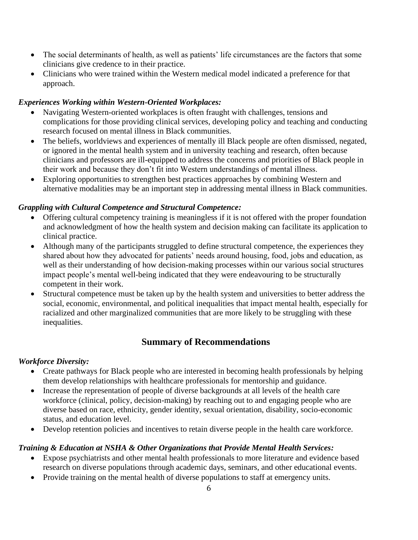- The social determinants of health, as well as patients' life circumstances are the factors that some clinicians give credence to in their practice.
- Clinicians who were trained within the Western medical model indicated a preference for that approach.

### *Experiences Working within Western-Oriented Workplaces:*

- Navigating Western-oriented workplaces is often fraught with challenges, tensions and complications for those providing clinical services, developing policy and teaching and conducting research focused on mental illness in Black communities.
- The beliefs, worldviews and experiences of mentally ill Black people are often dismissed, negated, or ignored in the mental health system and in university teaching and research, often because clinicians and professors are ill-equipped to address the concerns and priorities of Black people in their work and because they don't fit into Western understandings of mental illness.
- Exploring opportunities to strengthen best practices approaches by combining Western and alternative modalities may be an important step in addressing mental illness in Black communities.

## *Grappling with Cultural Competence and Structural Competence:*

- Offering cultural competency training is meaningless if it is not offered with the proper foundation and acknowledgment of how the health system and decision making can facilitate its application to clinical practice.
- Although many of the participants struggled to define structural competence, the experiences they shared about how they advocated for patients' needs around housing, food, jobs and education, as well as their understanding of how decision-making processes within our various social structures impact people's mental well-being indicated that they were endeavouring to be structurally competent in their work.
- Structural competence must be taken up by the health system and universities to better address the social, economic, environmental, and political inequalities that impact mental health, especially for racialized and other marginalized communities that are more likely to be struggling with these inequalities.

# **Summary of Recommendations**

## *Workforce Diversity:*

- Create pathways for Black people who are interested in becoming health professionals by helping them develop relationships with healthcare professionals for mentorship and guidance.
- Increase the representation of people of diverse backgrounds at all levels of the health care workforce (clinical, policy, decision-making) by reaching out to and engaging people who are diverse based on race, ethnicity, gender identity, sexual orientation, disability, socio-economic status, and education level.
- Develop retention policies and incentives to retain diverse people in the health care workforce.

## *Training & Education at NSHA & Other Organizations that Provide Mental Health Services:*

- Expose psychiatrists and other mental health professionals to more literature and evidence based research on diverse populations through academic days, seminars, and other educational events.
- Provide training on the mental health of diverse populations to staff at emergency units.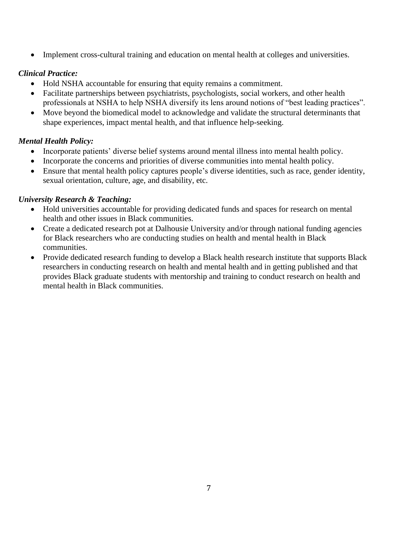• Implement cross-cultural training and education on mental health at colleges and universities.

## *Clinical Practice:*

- Hold NSHA accountable for ensuring that equity remains a commitment.
- Facilitate partnerships between psychiatrists, psychologists, social workers, and other health professionals at NSHA to help NSHA diversify its lens around notions of "best leading practices".
- Move beyond the biomedical model to acknowledge and validate the structural determinants that shape experiences, impact mental health, and that influence help-seeking.

## *Mental Health Policy:*

- Incorporate patients' diverse belief systems around mental illness into mental health policy.
- Incorporate the concerns and priorities of diverse communities into mental health policy.
- Ensure that mental health policy captures people's diverse identities, such as race, gender identity, sexual orientation, culture, age, and disability, etc.

## *University Research & Teaching:*

- Hold universities accountable for providing dedicated funds and spaces for research on mental health and other issues in Black communities.
- Create a dedicated research pot at Dalhousie University and/or through national funding agencies for Black researchers who are conducting studies on health and mental health in Black communities.
- Provide dedicated research funding to develop a Black health research institute that supports Black researchers in conducting research on health and mental health and in getting published and that provides Black graduate students with mentorship and training to conduct research on health and mental health in Black communities.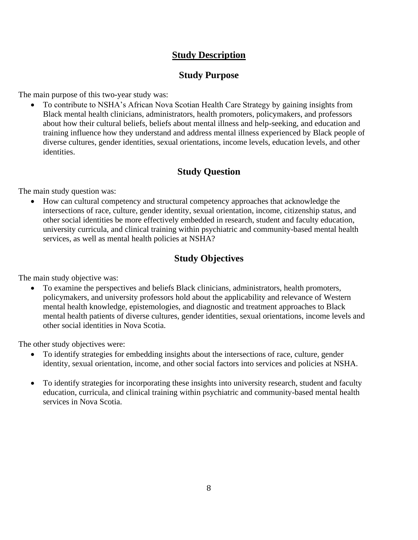# **Study Description**

# **Study Purpose**

The main purpose of this two-year study was:

• To contribute to NSHA's African Nova Scotian Health Care Strategy by gaining insights from Black mental health clinicians, administrators, health promoters, policymakers, and professors about how their cultural beliefs, beliefs about mental illness and help-seeking, and education and training influence how they understand and address mental illness experienced by Black people of diverse cultures, gender identities, sexual orientations, income levels, education levels, and other identities.

# **Study Question**

The main study question was:

• How can cultural competency and structural competency approaches that acknowledge the intersections of race, culture, gender identity, sexual orientation, income, citizenship status, and other social identities be more effectively embedded in research, student and faculty education, university curricula, and clinical training within psychiatric and community-based mental health services, as well as mental health policies at NSHA?

# **Study Objectives**

The main study objective was:

• To examine the perspectives and beliefs Black clinicians, administrators, health promoters, policymakers, and university professors hold about the applicability and relevance of Western mental health knowledge, epistemologies, and diagnostic and treatment approaches to Black mental health patients of diverse cultures, gender identities, sexual orientations, income levels and other social identities in Nova Scotia.

The other study objectives were:

- To identify strategies for embedding insights about the intersections of race, culture, gender identity, sexual orientation, income, and other social factors into services and policies at NSHA.
- To identify strategies for incorporating these insights into university research, student and faculty education, curricula, and clinical training within psychiatric and community-based mental health services in Nova Scotia.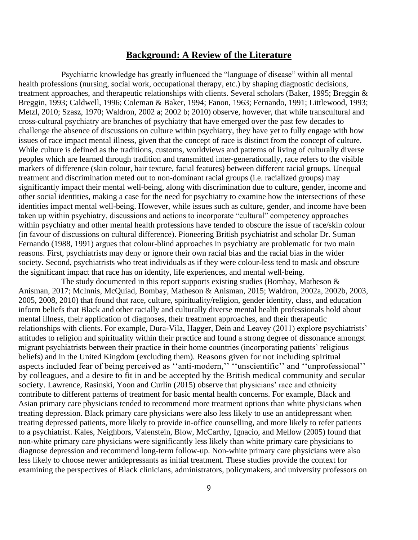## **Background: A Review of the Literature**

Psychiatric knowledge has greatly influenced the "language of disease" within all mental health professions (nursing, social work, occupational therapy, etc.) by shaping diagnostic decisions, treatment approaches, and therapeutic relationships with clients. Several scholars (Baker, 1995; Breggin & Breggin, 1993; Caldwell, 1996; Coleman & Baker, 1994; Fanon, 1963; Fernando, 1991; Littlewood, 1993; Metzl, 2010; Szasz, 1970; Waldron, 2002 a; 2002 b; 2010) observe, however, that while transcultural and cross-cultural psychiatry are branches of psychiatry that have emerged over the past few decades to challenge the absence of discussions on culture within psychiatry, they have yet to fully engage with how issues of race impact mental illness, given that the concept of race is distinct from the concept of culture. While culture is defined as the traditions, customs, worldviews and patterns of living of culturally diverse peoples which are learned through tradition and transmitted inter-generationally, race refers to the visible markers of difference (skin colour, hair texture, facial features) between different racial groups. Unequal treatment and discrimination meted out to non-dominant racial groups (i.e. racialized groups) may significantly impact their mental well-being, along with discrimination due to culture, gender, income and other social identities, making a case for the need for psychiatry to examine how the intersections of these identities impact mental well-being. However, while issues such as culture, gender, and income have been taken up within psychiatry, discussions and actions to incorporate "cultural" competency approaches within psychiatry and other mental health professions have tended to obscure the issue of race/skin colour (in favour of discussions on cultural difference). Pioneering British psychiatrist and scholar Dr. Suman Fernando (1988, 1991) argues that colour-blind approaches in psychiatry are problematic for two main reasons. First, psychiatrists may deny or ignore their own racial bias and the racial bias in the wider society. Second, psychiatrists who treat individuals as if they were colour-less tend to mask and obscure the significant impact that race has on identity, life experiences, and mental well-being.

The study documented in this report supports existing studies (Bombay, Matheson  $\&$ Anisman, 2017; McInnis, McQuiad, Bombay, Matheson & Anisman, 2015; Waldron, 2002a, 2002b, 2003, 2005, 2008, 2010) that found that race, culture, spirituality/religion, gender identity, class, and education inform beliefs that Black and other racially and culturally diverse mental health professionals hold about mental illness, their application of diagnoses, their treatment approaches, and their therapeutic relationships with clients. For example, Dura-Vila, Hagger, Dein and Leavey (2011) explore psychiatrists' attitudes to religion and spirituality within their practice and found a strong degree of dissonance amongst migrant psychiatrists between their practice in their home countries (incorporating patients' religious beliefs) and in the United Kingdom (excluding them). Reasons given for not including spiritual aspects included fear of being perceived as ''anti-modern,'' ''unscientific'' and ''unprofessional'' by colleagues, and a desire to fit in and be accepted by the British medical community and secular society. Lawrence, Rasinski, Yoon and Curlin (2015) observe that physicians' race and ethnicity contribute to different patterns of treatment for basic mental health concerns. For example, Black and Asian primary care physicians tended to recommend more treatment options than white physicians when treating depression. Black primary care physicians were also less likely to use an antidepressant when treating depressed patients, more likely to provide in-office counselling, and more likely to refer patients to a psychiatrist. Kales, Neighbors, Valenstein, Blow, McCarthy, Ignacio, and Mellow (2005) found that non-white primary care physicians were significantly less likely than white primary care physicians to diagnose depression and recommend long-term follow-up. Non-white primary care physicians were also less likely to choose newer antidepressants as initial treatment. These studies provide the context for examining the perspectives of Black clinicians, administrators, policymakers, and university professors on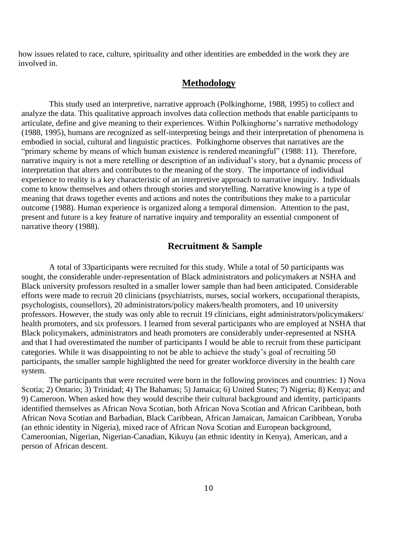how issues related to race, culture, spirituality and other identities are embedded in the work they are involved in.

## **Methodology**

This study used an interpretive, narrative approach (Polkinghorne, 1988, 1995) to collect and analyze the data. This qualitative approach involves data collection methods that enable participants to articulate, define and give meaning to their experiences. Within Polkinghorne's narrative methodology (1988, 1995), humans are recognized as self-interpreting beings and their interpretation of phenomena is embodied in social, cultural and linguistic practices. Polkinghorne observes that narratives are the "primary scheme by means of which human existence is rendered meaningful" (1988: 11). Therefore, narrative inquiry is not a mere retelling or description of an individual's story, but a dynamic process of interpretation that alters and contributes to the meaning of the story. The importance of individual experience to reality is a key characteristic of an interpretive approach to narrative inquiry. Individuals come to know themselves and others through stories and storytelling. Narrative knowing is a type of meaning that draws together events and actions and notes the contributions they make to a particular outcome (1988). Human experience is organized along a temporal dimension. Attention to the past, present and future is a key feature of narrative inquiry and temporality an essential component of narrative theory (1988).

### **Recruitment & Sample**

A total of 33participants were recruited for this study. While a total of 50 participants was sought, the considerable under-representation of Black administrators and policymakers at NSHA and Black university professors resulted in a smaller lower sample than had been anticipated. Considerable efforts were made to recruit 20 clinicians (psychiatrists, nurses, social workers, occupational therapists, psychologists, counsellors), 20 administrators/policy makers/health promoters, and 10 university professors. However, the study was only able to recruit 19 clinicians, eight administrators/policymakers/ health promoters, and six professors. I learned from several participants who are employed at NSHA that Black policymakers, administrators and heath promoters are considerably under-represented at NSHA and that I had overestimated the number of participants I would be able to recruit from these participant categories. While it was disappointing to not be able to achieve the study's goal of recruiting 50 participants, the smaller sample highlighted the need for greater workforce diversity in the health care system.

The participants that were recruited were born in the following provinces and countries: 1) Nova Scotia; 2) Ontario; 3) Trinidad; 4) The Bahamas; 5) Jamaica; 6) United States; 7) Nigeria; 8) Kenya; and 9) Cameroon. When asked how they would describe their cultural background and identity, participants identified themselves as African Nova Scotian, both African Nova Scotian and African Caribbean, both African Nova Scotian and Barbadian, Black Caribbean, African Jamaican, Jamaican Caribbean, Yoruba (an ethnic identity in Nigeria), mixed race of African Nova Scotian and European background, Cameroonian, Nigerian, Nigerian-Canadian, Kikuyu (an ethnic identity in Kenya), American, and a person of African descent.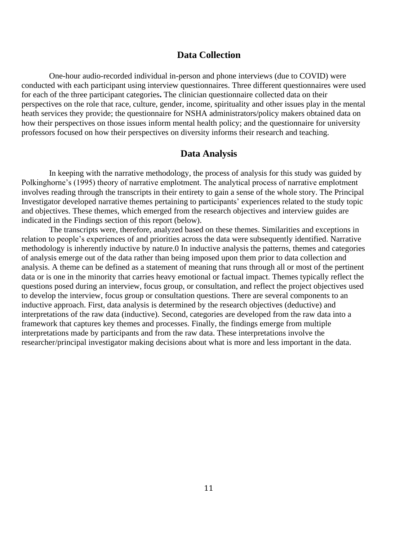#### **Data Collection**

One-hour audio-recorded individual in-person and phone interviews (due to COVID) were conducted with each participant using interview questionnaires. Three different questionnaires were used for each of the three participant categories**.** The clinician questionnaire collected data on their perspectives on the role that race, culture, gender, income, spirituality and other issues play in the mental heath services they provide; the questionnaire for NSHA administrators/policy makers obtained data on how their perspectives on those issues inform mental health policy; and the questionnaire for university professors focused on how their perspectives on diversity informs their research and teaching.

### **Data Analysis**

In keeping with the narrative methodology, the process of analysis for this study was guided by Polkinghorne's (1995) theory of narrative emplotment. The analytical process of narrative emplotment involves reading through the transcripts in their entirety to gain a sense of the whole story. The Principal Investigator developed narrative themes pertaining to participants' experiences related to the study topic and objectives. These themes, which emerged from the research objectives and interview guides are indicated in the Findings section of this report (below).

The transcripts were, therefore, analyzed based on these themes. Similarities and exceptions in relation to people's experiences of and priorities across the data were subsequently identified. Narrative methodology is inherently inductive by nature.0 In inductive analysis the patterns, themes and categories of analysis emerge out of the data rather than being imposed upon them prior to data collection and analysis. A theme can be defined as a statement of meaning that runs through all or most of the pertinent data or is one in the minority that carries heavy emotional or factual impact. Themes typically reflect the questions posed during an interview, focus group, or consultation, and reflect the project objectives used to develop the interview, focus group or consultation questions. There are several components to an inductive approach. First, data analysis is determined by the research objectives (deductive) and interpretations of the raw data (inductive). Second, categories are developed from the raw data into a framework that captures key themes and processes. Finally, the findings emerge from multiple interpretations made by participants and from the raw data. These interpretations involve the researcher/principal investigator making decisions about what is more and less important in the data.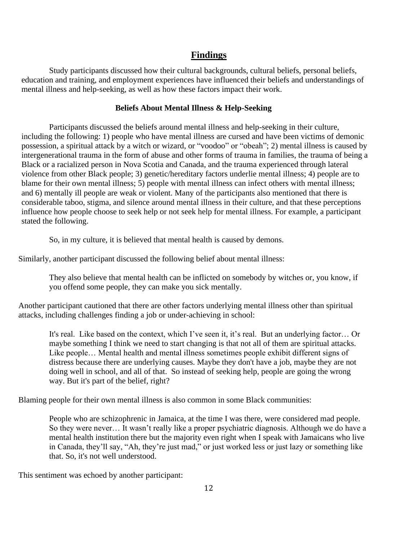## **Findings**

Study participants discussed how their cultural backgrounds, cultural beliefs, personal beliefs, education and training, and employment experiences have influenced their beliefs and understandings of mental illness and help-seeking, as well as how these factors impact their work.

#### **Beliefs About Mental Illness & Help-Seeking**

Participants discussed the beliefs around mental illness and help-seeking in their culture, including the following: 1) people who have mental illness are cursed and have been victims of demonic possession, a spiritual attack by a witch or wizard, or "voodoo" or "obeah"; 2) mental illness is caused by intergenerational trauma in the form of abuse and other forms of trauma in families, the trauma of being a Black or a racialized person in Nova Scotia and Canada, and the trauma experienced through lateral violence from other Black people; 3) genetic/hereditary factors underlie mental illness; 4) people are to blame for their own mental illness; 5) people with mental illness can infect others with mental illness; and 6) mentally ill people are weak or violent. Many of the participants also mentioned that there is considerable taboo, stigma, and silence around mental illness in their culture, and that these perceptions influence how people choose to seek help or not seek help for mental illness. For example, a participant stated the following.

So, in my culture, it is believed that mental health is caused by demons.

Similarly, another participant discussed the following belief about mental illness:

They also believe that mental health can be inflicted on somebody by witches or, you know, if you offend some people, they can make you sick mentally.

Another participant cautioned that there are other factors underlying mental illness other than spiritual attacks, including challenges finding a job or under-achieving in school:

It's real. Like based on the context, which I've seen it, it's real. But an underlying factor… Or maybe something I think we need to start changing is that not all of them are spiritual attacks. Like people… Mental health and mental illness sometimes people exhibit different signs of distress because there are underlying causes. Maybe they don't have a job, maybe they are not doing well in school, and all of that. So instead of seeking help, people are going the wrong way. But it's part of the belief, right?

Blaming people for their own mental illness is also common in some Black communities:

People who are schizophrenic in Jamaica, at the time I was there, were considered mad people. So they were never… It wasn't really like a proper psychiatric diagnosis. Although we do have a mental health institution there but the majority even right when I speak with Jamaicans who live in Canada, they'll say, "Ah, they're just mad," or just worked less or just lazy or something like that. So, it's not well understood.

This sentiment was echoed by another participant: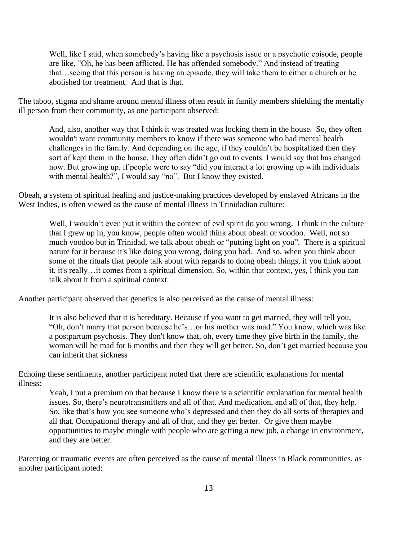Well, like I said, when somebody's having like a psychosis issue or a psychotic episode, people are like, "Oh, he has been afflicted. He has offended somebody." And instead of treating that…seeing that this person is having an episode, they will take them to either a church or be abolished for treatment. And that is that.

The taboo, stigma and shame around mental illness often result in family members shielding the mentally ill person from their community, as one participant observed:

And, also, another way that I think it was treated was locking them in the house. So, they often wouldn't want community members to know if there was someone who had mental health challenges in the family. And depending on the age, if they couldn't be hospitalized then they sort of kept them in the house. They often didn't go out to events. I would say that has changed now. But growing up, if people were to say "did you interact a lot growing up with individuals with mental health?", I would say "no". But I know they existed.

Obeah, a system of spiritual healing and justice-making practices developed by enslaved Africans in the West Indies, is often viewed as the cause of mental illness in Trinidadian culture:

Well, I wouldn't even put it within the context of evil spirit do you wrong. I think in the culture that I grew up in, you know, people often would think about obeah or voodoo. Well, not so much voodoo but in Trinidad, we talk about obeah or "putting light on you". There is a spiritual nature for it because it's like doing you wrong, doing you bad. And so, when you think about some of the rituals that people talk about with regards to doing obeah things, if you think about it, it's really…it comes from a spiritual dimension. So, within that context, yes, I think you can talk about it from a spiritual context.

Another participant observed that genetics is also perceived as the cause of mental illness:

It is also believed that it is hereditary. Because if you want to get married, they will tell you, "Oh, don't marry that person because he's…or his mother was mad." You know, which was like a postpartum psychosis. They don't know that, oh, every time they give birth in the family, the woman will be mad for 6 months and then they will get better. So, don't get married because you can inherit that sickness

Echoing these sentiments, another participant noted that there are scientific explanations for mental illness:

Yeah, I put a premium on that because I know there is a scientific explanation for mental health issues. So, there's neurotransmitters and all of that. And medication, and all of that, they help. So, like that's how you see someone who's depressed and then they do all sorts of therapies and all that. Occupational therapy and all of that, and they get better. Or give them maybe opportunities to maybe mingle with people who are getting a new job, a change in environment, and they are better.

Parenting or traumatic events are often perceived as the cause of mental illness in Black communities, as another participant noted: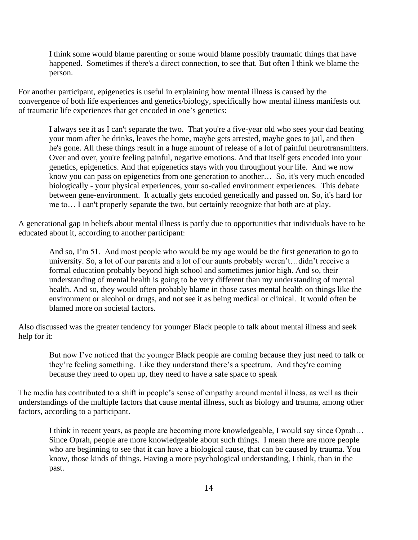I think some would blame parenting or some would blame possibly traumatic things that have happened. Sometimes if there's a direct connection, to see that. But often I think we blame the person.

For another participant, epigenetics is useful in explaining how mental illness is caused by the convergence of both life experiences and genetics/biology, specifically how mental illness manifests out of traumatic life experiences that get encoded in one's genetics:

I always see it as I can't separate the two. That you're a five-year old who sees your dad beating your mom after he drinks, leaves the home, maybe gets arrested, maybe goes to jail, and then he's gone. All these things result in a huge amount of release of a lot of painful neurotransmitters. Over and over, you're feeling painful, negative emotions. And that itself gets encoded into your genetics, epigenetics. And that epigenetics stays with you throughout your life. And we now know you can pass on epigenetics from one generation to another… So, it's very much encoded biologically - your physical experiences, your so-called environment experiences. This debate between gene-environment. It actually gets encoded genetically and passed on. So, it's hard for me to… I can't properly separate the two, but certainly recognize that both are at play.

A generational gap in beliefs about mental illness is partly due to opportunities that individuals have to be educated about it, according to another participant:

And so, I'm 51. And most people who would be my age would be the first generation to go to university. So, a lot of our parents and a lot of our aunts probably weren't…didn't receive a formal education probably beyond high school and sometimes junior high. And so, their understanding of mental health is going to be very different than my understanding of mental health. And so, they would often probably blame in those cases mental health on things like the environment or alcohol or drugs, and not see it as being medical or clinical. It would often be blamed more on societal factors.

Also discussed was the greater tendency for younger Black people to talk about mental illness and seek help for it:

But now I've noticed that the younger Black people are coming because they just need to talk or they're feeling something. Like they understand there's a spectrum. And they're coming because they need to open up, they need to have a safe space to speak

The media has contributed to a shift in people's sense of empathy around mental illness, as well as their understandings of the multiple factors that cause mental illness, such as biology and trauma, among other factors, according to a participant.

I think in recent years, as people are becoming more knowledgeable, I would say since Oprah… Since Oprah, people are more knowledgeable about such things. I mean there are more people who are beginning to see that it can have a biological cause, that can be caused by trauma. You know, those kinds of things. Having a more psychological understanding, I think, than in the past.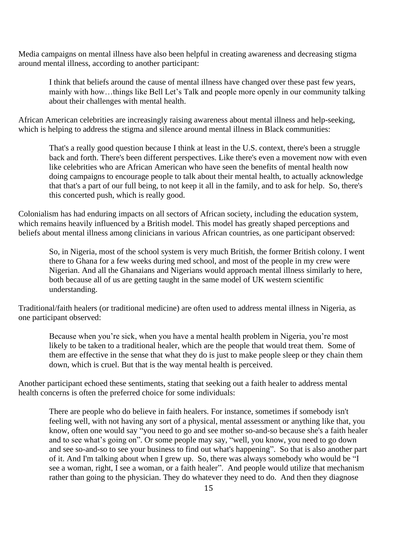Media campaigns on mental illness have also been helpful in creating awareness and decreasing stigma around mental illness, according to another participant:

I think that beliefs around the cause of mental illness have changed over these past few years, mainly with how…things like Bell Let's Talk and people more openly in our community talking about their challenges with mental health.

African American celebrities are increasingly raising awareness about mental illness and help-seeking, which is helping to address the stigma and silence around mental illness in Black communities:

That's a really good question because I think at least in the U.S. context, there's been a struggle back and forth. There's been different perspectives. Like there's even a movement now with even like celebrities who are African American who have seen the benefits of mental health now doing campaigns to encourage people to talk about their mental health, to actually acknowledge that that's a part of our full being, to not keep it all in the family, and to ask for help. So, there's this concerted push, which is really good.

Colonialism has had enduring impacts on all sectors of African society, including the education system, which remains heavily influenced by a British model. This model has greatly shaped perceptions and beliefs about mental illness among clinicians in various African countries, as one participant observed:

So, in Nigeria, most of the school system is very much British, the former British colony. I went there to Ghana for a few weeks during med school, and most of the people in my crew were Nigerian. And all the Ghanaians and Nigerians would approach mental illness similarly to here, both because all of us are getting taught in the same model of UK western scientific understanding.

Traditional/faith healers (or traditional medicine) are often used to address mental illness in Nigeria, as one participant observed:

Because when you're sick, when you have a mental health problem in Nigeria, you're most likely to be taken to a traditional healer, which are the people that would treat them. Some of them are effective in the sense that what they do is just to make people sleep or they chain them down, which is cruel. But that is the way mental health is perceived.

Another participant echoed these sentiments, stating that seeking out a faith healer to address mental health concerns is often the preferred choice for some individuals:

There are people who do believe in faith healers. For instance, sometimes if somebody isn't feeling well, with not having any sort of a physical, mental assessment or anything like that, you know, often one would say "you need to go and see mother so-and-so because she's a faith healer and to see what's going on". Or some people may say, "well, you know, you need to go down and see so-and-so to see your business to find out what's happening". So that is also another part of it. And I'm talking about when I grew up. So, there was always somebody who would be "I see a woman, right, I see a woman, or a faith healer". And people would utilize that mechanism rather than going to the physician. They do whatever they need to do. And then they diagnose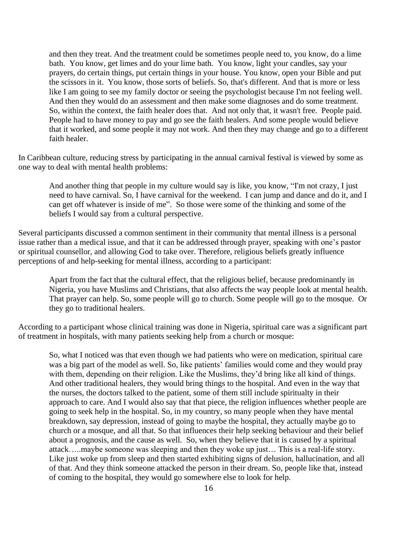and then they treat. And the treatment could be sometimes people need to, you know, do a lime bath. You know, get limes and do your lime bath. You know, light your candles, say your prayers, do certain things, put certain things in your house. You know, open your Bible and put the scissors in it. You know, those sorts of beliefs. So, that's different. And that is more or less like I am going to see my family doctor or seeing the psychologist because I'm not feeling well. And then they would do an assessment and then make some diagnoses and do some treatment. So, within the context, the faith healer does that. And not only that, it wasn't free. People paid. People had to have money to pay and go see the faith healers. And some people would believe that it worked, and some people it may not work. And then they may change and go to a different faith healer.

In Caribbean culture, reducing stress by participating in the annual carnival festival is viewed by some as one way to deal with mental health problems:

And another thing that people in my culture would say is like, you know, "I'm not crazy, I just need to have carnival. So, I have carnival for the weekend. I can jump and dance and do it, and I can get off whatever is inside of me". So those were some of the thinking and some of the beliefs I would say from a cultural perspective.

Several participants discussed a common sentiment in their community that mental illness is a personal issue rather than a medical issue, and that it can be addressed through prayer, speaking with one's pastor or spiritual counsellor, and allowing God to take over. Therefore, religious beliefs greatly influence perceptions of and help-seeking for mental illness, according to a participant:

Apart from the fact that the cultural effect, that the religious belief, because predominantly in Nigeria, you have Muslims and Christians, that also affects the way people look at mental health. That prayer can help. So, some people will go to church. Some people will go to the mosque. Or they go to traditional healers.

According to a participant whose clinical training was done in Nigeria, spiritual care was a significant part of treatment in hospitals, with many patients seeking help from a church or mosque:

So, what I noticed was that even though we had patients who were on medication, spiritual care was a big part of the model as well. So, like patients' families would come and they would pray with them, depending on their religion. Like the Muslims, they'd bring like all kind of things. And other traditional healers, they would bring things to the hospital. And even in the way that the nurses, the doctors talked to the patient, some of them still include spiritualty in their approach to care. And I would also say that that piece, the religion influences whether people are going to seek help in the hospital. So, in my country, so many people when they have mental breakdown, say depression, instead of going to maybe the hospital, they actually maybe go to church or a mosque, and all that. So that influences their help seeking behaviour and their belief about a prognosis, and the cause as well. So, when they believe that it is caused by a spiritual attack…..maybe someone was sleeping and then they woke up just… This is a real-life story. Like just woke up from sleep and then started exhibiting signs of delusion, hallucination, and all of that. And they think someone attacked the person in their dream. So, people like that, instead of coming to the hospital, they would go somewhere else to look for help.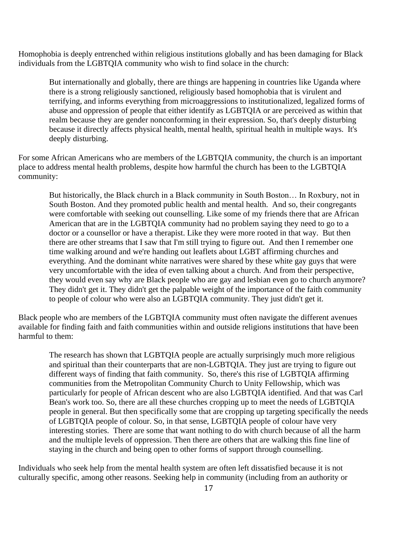Homophobia is deeply entrenched within religious institutions globally and has been damaging for Black individuals from the LGBTQIA community who wish to find solace in the church:

But internationally and globally, there are things are happening in countries like Uganda where there is a strong religiously sanctioned, religiously based homophobia that is virulent and terrifying, and informs everything from microaggressions to institutionalized, legalized forms of abuse and oppression of people that either identify as LGBTQIA or are perceived as within that realm because they are gender nonconforming in their expression. So, that's deeply disturbing because it directly affects physical health, mental health, spiritual health in multiple ways. It's deeply disturbing.

For some African Americans who are members of the LGBTQIA community, the church is an important place to address mental health problems, despite how harmful the church has been to the LGBTQIA community:

But historically, the Black church in a Black community in South Boston… In Roxbury, not in South Boston. And they promoted public health and mental health. And so, their congregants were comfortable with seeking out counselling. Like some of my friends there that are African American that are in the LGBTQIA community had no problem saying they need to go to a doctor or a counsellor or have a therapist. Like they were more rooted in that way. But then there are other streams that I saw that I'm still trying to figure out. And then I remember one time walking around and we're handing out leaflets about LGBT affirming churches and everything. And the dominant white narratives were shared by these white gay guys that were very uncomfortable with the idea of even talking about a church. And from their perspective, they would even say why are Black people who are gay and lesbian even go to church anymore? They didn't get it. They didn't get the palpable weight of the importance of the faith community to people of colour who were also an LGBTQIA community. They just didn't get it.

Black people who are members of the LGBTQIA community must often navigate the different avenues available for finding faith and faith communities within and outside religions institutions that have been harmful to them:

The research has shown that LGBTQIA people are actually surprisingly much more religious and spiritual than their counterparts that are non-LGBTQIA. They just are trying to figure out different ways of finding that faith community. So, there's this rise of LGBTQIA affirming communities from the Metropolitan Community Church to Unity Fellowship, which was particularly for people of African descent who are also LGBTQIA identified. And that was Carl Bean's work too. So, there are all these churches cropping up to meet the needs of LGBTQIA people in general. But then specifically some that are cropping up targeting specifically the needs of LGBTQIA people of colour. So, in that sense, LGBTQIA people of colour have very interesting stories. There are some that want nothing to do with church because of all the harm and the multiple levels of oppression. Then there are others that are walking this fine line of staying in the church and being open to other forms of support through counselling.

Individuals who seek help from the mental health system are often left dissatisfied because it is not culturally specific, among other reasons. Seeking help in community (including from an authority or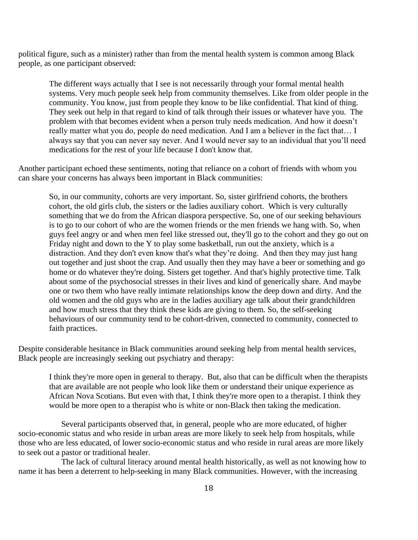political figure, such as a minister) rather than from the mental health system is common among Black people, as one participant observed:

The different ways actually that I see is not necessarily through your formal mental health systems. Very much people seek help from community themselves. Like from older people in the community. You know, just from people they know to be like confidential. That kind of thing. They seek out help in that regard to kind of talk through their issues or whatever have you. The problem with that becomes evident when a person truly needs medication. And how it doesn't really matter what you do, people do need medication. And I am a believer in the fact that… I always say that you can never say never. And I would never say to an individual that you'll need medications for the rest of your life because I don't know that.

Another participant echoed these sentiments, noting that reliance on a cohort of friends with whom you can share your concerns has always been important in Black communities:

So, in our community, cohorts are very important. So, sister girlfriend cohorts, the brothers cohort, the old girls club, the sisters or the ladies auxiliary cohort. Which is very culturally something that we do from the African diaspora perspective. So, one of our seeking behaviours is to go to our cohort of who are the women friends or the men friends we hang with. So, when guys feel angry or and when men feel like stressed out, they'll go to the cohort and they go out on Friday night and down to the Y to play some basketball, run out the anxiety, which is a distraction. And they don't even know that's what they're doing. And then they may just hang out together and just shoot the crap. And usually then they may have a beer or something and go home or do whatever they're doing. Sisters get together. And that's highly protective time. Talk about some of the psychosocial stresses in their lives and kind of generically share. And maybe one or two them who have really intimate relationships know the deep down and dirty. And the old women and the old guys who are in the ladies auxiliary age talk about their grandchildren and how much stress that they think these kids are giving to them. So, the self-seeking behaviours of our community tend to be cohort-driven, connected to community, connected to faith practices.

Despite considerable hesitance in Black communities around seeking help from mental health services, Black people are increasingly seeking out psychiatry and therapy:

I think they're more open in general to therapy. But, also that can be difficult when the therapists that are available are not people who look like them or understand their unique experience as African Nova Scotians. But even with that, I think they're more open to a therapist. I think they would be more open to a therapist who is white or non-Black then taking the medication.

Several participants observed that, in general, people who are more educated, of higher socio-economic status and who reside in urban areas are more likely to seek help from hospitals, while those who are less educated, of lower socio-economic status and who reside in rural areas are more likely to seek out a pastor or traditional healer.

The lack of cultural literacy around mental health historically, as well as not knowing how to name it has been a deterrent to help-seeking in many Black communities. However, with the increasing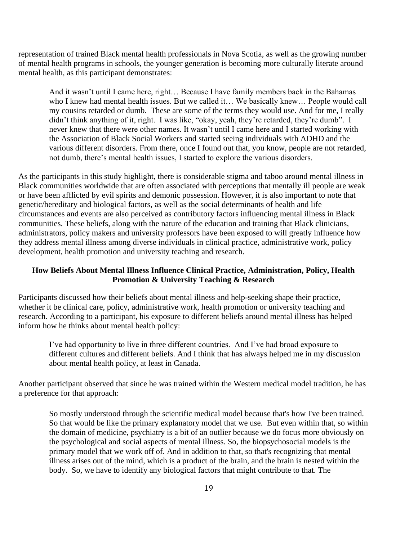representation of trained Black mental health professionals in Nova Scotia, as well as the growing number of mental health programs in schools, the younger generation is becoming more culturally literate around mental health, as this participant demonstrates:

And it wasn't until I came here, right… Because I have family members back in the Bahamas who I knew had mental health issues. But we called it... We basically knew... People would call my cousins retarded or dumb. These are some of the terms they would use. And for me, I really didn't think anything of it, right. I was like, "okay, yeah, they're retarded, they're dumb". I never knew that there were other names. It wasn't until I came here and I started working with the Association of Black Social Workers and started seeing individuals with ADHD and the various different disorders. From there, once I found out that, you know, people are not retarded, not dumb, there's mental health issues, I started to explore the various disorders.

As the participants in this study highlight, there is considerable stigma and taboo around mental illness in Black communities worldwide that are often associated with perceptions that mentally ill people are weak or have been afflicted by evil spirits and demonic possession. However, it is also important to note that genetic/hereditary and biological factors, as well as the social determinants of health and life circumstances and events are also perceived as contributory factors influencing mental illness in Black communities. These beliefs, along with the nature of the education and training that Black clinicians, administrators, policy makers and university professors have been exposed to will greatly influence how they address mental illness among diverse individuals in clinical practice, administrative work, policy development, health promotion and university teaching and research.

### **How Beliefs About Mental Illness Influence Clinical Practice, Administration, Policy, Health Promotion & University Teaching & Research**

Participants discussed how their beliefs about mental illness and help-seeking shape their practice, whether it be clinical care, policy, administrative work, health promotion or university teaching and research. According to a participant, his exposure to different beliefs around mental illness has helped inform how he thinks about mental health policy:

I've had opportunity to live in three different countries. And I've had broad exposure to different cultures and different beliefs. And I think that has always helped me in my discussion about mental health policy, at least in Canada.

Another participant observed that since he was trained within the Western medical model tradition, he has a preference for that approach:

So mostly understood through the scientific medical model because that's how I've been trained. So that would be like the primary explanatory model that we use. But even within that, so within the domain of medicine, psychiatry is a bit of an outlier because we do focus more obviously on the psychological and social aspects of mental illness. So, the biopsychosocial models is the primary model that we work off of. And in addition to that, so that's recognizing that mental illness arises out of the mind, which is a product of the brain, and the brain is nested within the body. So, we have to identify any biological factors that might contribute to that. The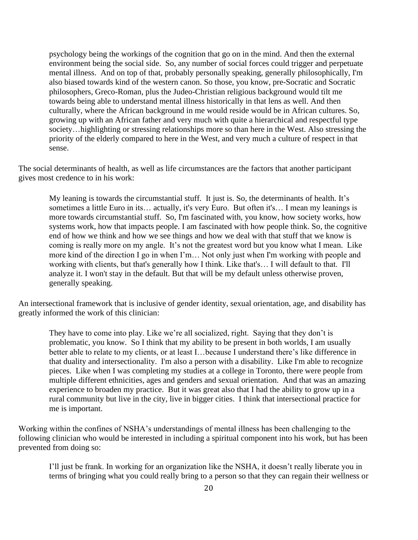psychology being the workings of the cognition that go on in the mind. And then the external environment being the social side. So, any number of social forces could trigger and perpetuate mental illness. And on top of that, probably personally speaking, generally philosophically, I'm also biased towards kind of the western canon. So those, you know, pre-Socratic and Socratic philosophers, Greco-Roman, plus the Judeo-Christian religious background would tilt me towards being able to understand mental illness historically in that lens as well. And then culturally, where the African background in me would reside would be in African cultures. So, growing up with an African father and very much with quite a hierarchical and respectful type society...highlighting or stressing relationships more so than here in the West. Also stressing the priority of the elderly compared to here in the West, and very much a culture of respect in that sense.

The social determinants of health, as well as life circumstances are the factors that another participant gives most credence to in his work:

My leaning is towards the circumstantial stuff. It just is. So, the determinants of health. It's sometimes a little Euro in its... actually, it's very Euro. But often it's... I mean my leanings is more towards circumstantial stuff. So, I'm fascinated with, you know, how society works, how systems work, how that impacts people. I am fascinated with how people think. So, the cognitive end of how we think and how we see things and how we deal with that stuff that we know is coming is really more on my angle. It's not the greatest word but you know what I mean. Like more kind of the direction I go in when I'm… Not only just when I'm working with people and working with clients, but that's generally how I think. Like that's… I will default to that. I'll analyze it. I won't stay in the default. But that will be my default unless otherwise proven, generally speaking.

An intersectional framework that is inclusive of gender identity, sexual orientation, age, and disability has greatly informed the work of this clinician:

They have to come into play. Like we're all socialized, right. Saying that they don't is problematic, you know. So I think that my ability to be present in both worlds, I am usually better able to relate to my clients, or at least I…because I understand there's like difference in that duality and intersectionality. I'm also a person with a disability. Like I'm able to recognize pieces. Like when I was completing my studies at a college in Toronto, there were people from multiple different ethnicities, ages and genders and sexual orientation. And that was an amazing experience to broaden my practice. But it was great also that I had the ability to grow up in a rural community but live in the city, live in bigger cities. I think that intersectional practice for me is important.

Working within the confines of NSHA's understandings of mental illness has been challenging to the following clinician who would be interested in including a spiritual component into his work, but has been prevented from doing so:

I'll just be frank. In working for an organization like the NSHA, it doesn't really liberate you in terms of bringing what you could really bring to a person so that they can regain their wellness or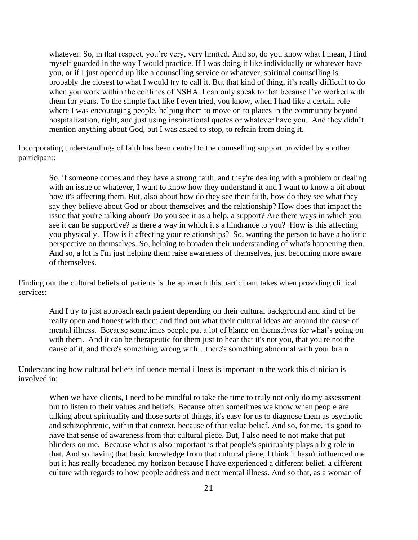whatever. So, in that respect, you're very, very limited. And so, do you know what I mean, I find myself guarded in the way I would practice. If I was doing it like individually or whatever have you, or if I just opened up like a counselling service or whatever, spiritual counselling is probably the closest to what I would try to call it. But that kind of thing, it's really difficult to do when you work within the confines of NSHA. I can only speak to that because I've worked with them for years. To the simple fact like I even tried, you know, when I had like a certain role where I was encouraging people, helping them to move on to places in the community beyond hospitalization, right, and just using inspirational quotes or whatever have you. And they didn't mention anything about God, but I was asked to stop, to refrain from doing it.

Incorporating understandings of faith has been central to the counselling support provided by another participant:

So, if someone comes and they have a strong faith, and they're dealing with a problem or dealing with an issue or whatever, I want to know how they understand it and I want to know a bit about how it's affecting them. But, also about how do they see their faith, how do they see what they say they believe about God or about themselves and the relationship? How does that impact the issue that you're talking about? Do you see it as a help, a support? Are there ways in which you see it can be supportive? Is there a way in which it's a hindrance to you? How is this affecting you physically. How is it affecting your relationships? So, wanting the person to have a holistic perspective on themselves. So, helping to broaden their understanding of what's happening then. And so, a lot is I'm just helping them raise awareness of themselves, just becoming more aware of themselves.

Finding out the cultural beliefs of patients is the approach this participant takes when providing clinical services:

And I try to just approach each patient depending on their cultural background and kind of be really open and honest with them and find out what their cultural ideas are around the cause of mental illness. Because sometimes people put a lot of blame on themselves for what's going on with them. And it can be therapeutic for them just to hear that it's not you, that you're not the cause of it, and there's something wrong with…there's something abnormal with your brain

Understanding how cultural beliefs influence mental illness is important in the work this clinician is involved in:

When we have clients, I need to be mindful to take the time to truly not only do my assessment but to listen to their values and beliefs. Because often sometimes we know when people are talking about spirituality and those sorts of things, it's easy for us to diagnose them as psychotic and schizophrenic, within that context, because of that value belief. And so, for me, it's good to have that sense of awareness from that cultural piece. But, I also need to not make that put blinders on me. Because what is also important is that people's spirituality plays a big role in that. And so having that basic knowledge from that cultural piece, I think it hasn't influenced me but it has really broadened my horizon because I have experienced a different belief, a different culture with regards to how people address and treat mental illness. And so that, as a woman of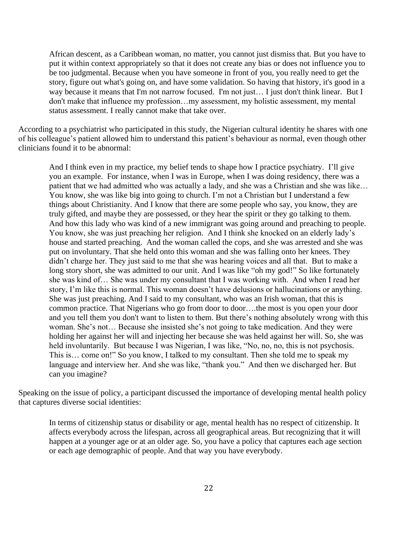African descent, as a Caribbean woman, no matter, you cannot just dismiss that. But you have to put it within context appropriately so that it does not create any bias or does not influence you to be too judgmental. Because when you have someone in front of you, you really need to get the story, figure out what's going on, and have some validation. So having that history, it's good in a way because it means that I'm not narrow focused. I'm not just… I just don't think linear. But I don't make that influence my profession…my assessment, my holistic assessment, my mental status assessment. I really cannot make that take over.

According to a psychiatrist who participated in this study, the Nigerian cultural identity he shares with one of his colleague's patient allowed him to understand this patient's behaviour as normal, even though other clinicians found it to be abnormal:

And I think even in my practice, my belief tends to shape how I practice psychiatry. I'll give you an example. For instance, when I was in Europe, when I was doing residency, there was a patient that we had admitted who was actually a lady, and she was a Christian and she was like… You know, she was like big into going to church. I'm not a Christian but I understand a few things about Christianity. And I know that there are some people who say, you know, they are truly gifted, and maybe they are possessed, or they hear the spirit or they go talking to them. And how this lady who was kind of a new immigrant was going around and preaching to people. You know, she was just preaching her religion. And I think she knocked on an elderly lady's house and started preaching. And the woman called the cops, and she was arrested and she was put on involuntary. That she held onto this woman and she was falling onto her knees. They didn't charge her. They just said to me that she was hearing voices and all that. But to make a long story short, she was admitted to our unit. And I was like "oh my god!" So like fortunately she was kind of… She was under my consultant that I was working with. And when I read her story, I'm like this is normal. This woman doesn't have delusions or hallucinations or anything. She was just preaching. And I said to my consultant, who was an Irish woman, that this is common practice. That Nigerians who go from door to door….the most is you open your door and you tell them you don't want to listen to them. But there's nothing absolutely wrong with this woman. She's not… Because she insisted she's not going to take medication. And they were holding her against her will and injecting her because she was held against her will. So, she was held involuntarily. But because I was Nigerian, I was like, "No, no, no, this is not psychosis. This is… come on!" So you know, I talked to my consultant. Then she told me to speak my language and interview her. And she was like, "thank you." And then we discharged her. But can you imagine?

Speaking on the issue of policy, a participant discussed the importance of developing mental health policy that captures diverse social identities:

In terms of citizenship status or disability or age, mental health has no respect of citizenship. It affects everybody across the lifespan, across all geographical areas. But recognizing that it will happen at a younger age or at an older age. So, you have a policy that captures each age section or each age demographic of people. And that way you have everybody.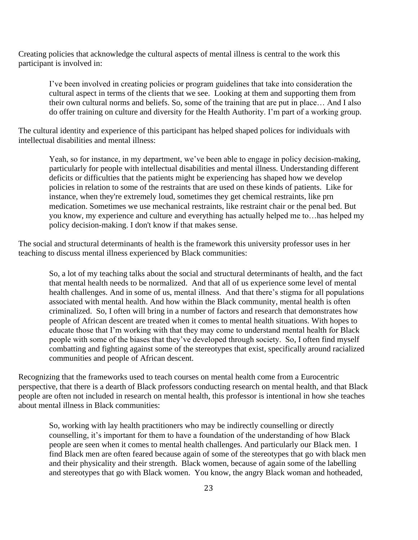Creating policies that acknowledge the cultural aspects of mental illness is central to the work this participant is involved in:

I've been involved in creating policies or program guidelines that take into consideration the cultural aspect in terms of the clients that we see. Looking at them and supporting them from their own cultural norms and beliefs. So, some of the training that are put in place… And I also do offer training on culture and diversity for the Health Authority. I'm part of a working group.

The cultural identity and experience of this participant has helped shaped polices for individuals with intellectual disabilities and mental illness:

Yeah, so for instance, in my department, we've been able to engage in policy decision-making, particularly for people with intellectual disabilities and mental illness. Understanding different deficits or difficulties that the patients might be experiencing has shaped how we develop policies in relation to some of the restraints that are used on these kinds of patients. Like for instance, when they're extremely loud, sometimes they get chemical restraints, like prn medication. Sometimes we use mechanical restraints, like restraint chair or the penal bed. But you know, my experience and culture and everything has actually helped me to…has helped my policy decision-making. I don't know if that makes sense.

The social and structural determinants of health is the framework this university professor uses in her teaching to discuss mental illness experienced by Black communities:

So, a lot of my teaching talks about the social and structural determinants of health, and the fact that mental health needs to be normalized. And that all of us experience some level of mental health challenges. And in some of us, mental illness. And that there's stigma for all populations associated with mental health. And how within the Black community, mental health is often criminalized. So, I often will bring in a number of factors and research that demonstrates how people of African descent are treated when it comes to mental health situations. With hopes to educate those that I'm working with that they may come to understand mental health for Black people with some of the biases that they've developed through society. So, I often find myself combatting and fighting against some of the stereotypes that exist, specifically around racialized communities and people of African descent.

Recognizing that the frameworks used to teach courses on mental health come from a Eurocentric perspective, that there is a dearth of Black professors conducting research on mental health, and that Black people are often not included in research on mental health, this professor is intentional in how she teaches about mental illness in Black communities:

So, working with lay health practitioners who may be indirectly counselling or directly counselling, it's important for them to have a foundation of the understanding of how Black people are seen when it comes to mental health challenges. And particularly our Black men. I find Black men are often feared because again of some of the stereotypes that go with black men and their physicality and their strength. Black women, because of again some of the labelling and stereotypes that go with Black women. You know, the angry Black woman and hotheaded,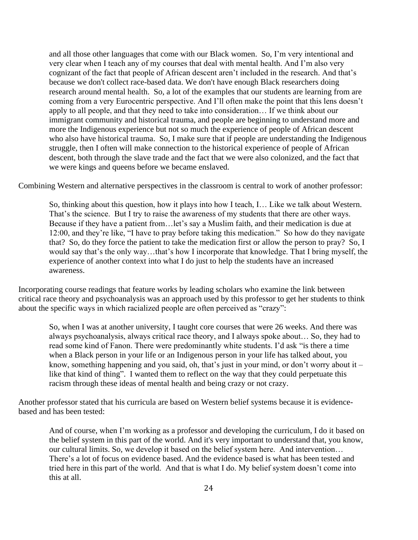and all those other languages that come with our Black women. So, I'm very intentional and very clear when I teach any of my courses that deal with mental health. And I'm also very cognizant of the fact that people of African descent aren't included in the research. And that's because we don't collect race-based data. We don't have enough Black researchers doing research around mental health. So, a lot of the examples that our students are learning from are coming from a very Eurocentric perspective. And I'll often make the point that this lens doesn't apply to all people, and that they need to take into consideration… If we think about our immigrant community and historical trauma, and people are beginning to understand more and more the Indigenous experience but not so much the experience of people of African descent who also have historical trauma. So, I make sure that if people are understanding the Indigenous struggle, then I often will make connection to the historical experience of people of African descent, both through the slave trade and the fact that we were also colonized, and the fact that we were kings and queens before we became enslaved.

Combining Western and alternative perspectives in the classroom is central to work of another professor:

So, thinking about this question, how it plays into how I teach, I… Like we talk about Western. That's the science. But I try to raise the awareness of my students that there are other ways. Because if they have a patient from…let's say a Muslim faith, and their medication is due at 12:00, and they're like, "I have to pray before taking this medication." So how do they navigate that? So, do they force the patient to take the medication first or allow the person to pray? So, I would say that's the only way…that's how I incorporate that knowledge. That I bring myself, the experience of another context into what I do just to help the students have an increased awareness.

Incorporating course readings that feature works by leading scholars who examine the link between critical race theory and psychoanalysis was an approach used by this professor to get her students to think about the specific ways in which racialized people are often perceived as "crazy":

So, when I was at another university, I taught core courses that were 26 weeks. And there was always psychoanalysis, always critical race theory, and I always spoke about… So, they had to read some kind of Fanon. There were predominantly white students. I'd ask "is there a time when a Black person in your life or an Indigenous person in your life has talked about, you know, something happening and you said, oh, that's just in your mind, or don't worry about it – like that kind of thing". I wanted them to reflect on the way that they could perpetuate this racism through these ideas of mental health and being crazy or not crazy.

Another professor stated that his curricula are based on Western belief systems because it is evidencebased and has been tested:

And of course, when I'm working as a professor and developing the curriculum, I do it based on the belief system in this part of the world. And it's very important to understand that, you know, our cultural limits. So, we develop it based on the belief system here. And intervention… There's a lot of focus on evidence based. And the evidence based is what has been tested and tried here in this part of the world. And that is what I do. My belief system doesn't come into this at all.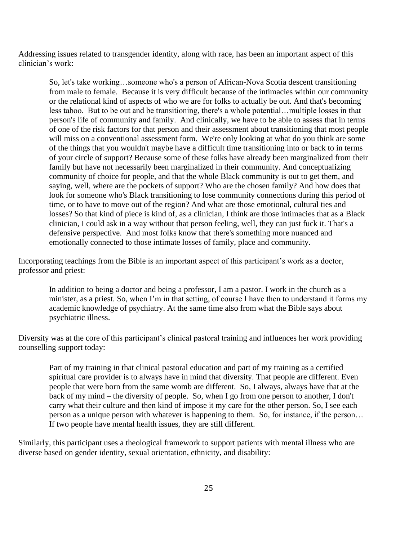Addressing issues related to transgender identity, along with race, has been an important aspect of this clinician's work:

So, let's take working…someone who's a person of African-Nova Scotia descent transitioning from male to female. Because it is very difficult because of the intimacies within our community or the relational kind of aspects of who we are for folks to actually be out. And that's becoming less taboo. But to be out and be transitioning, there's a whole potential…multiple losses in that person's life of community and family. And clinically, we have to be able to assess that in terms of one of the risk factors for that person and their assessment about transitioning that most people will miss on a conventional assessment form. We're only looking at what do you think are some of the things that you wouldn't maybe have a difficult time transitioning into or back to in terms of your circle of support? Because some of these folks have already been marginalized from their family but have not necessarily been marginalized in their community. And conceptualizing community of choice for people, and that the whole Black community is out to get them, and saying, well, where are the pockets of support? Who are the chosen family? And how does that look for someone who's Black transitioning to lose community connections during this period of time, or to have to move out of the region? And what are those emotional, cultural ties and losses? So that kind of piece is kind of, as a clinician, I think are those intimacies that as a Black clinician, I could ask in a way without that person feeling, well, they can just fuck it. That's a defensive perspective. And most folks know that there's something more nuanced and emotionally connected to those intimate losses of family, place and community.

Incorporating teachings from the Bible is an important aspect of this participant's work as a doctor, professor and priest:

In addition to being a doctor and being a professor, I am a pastor. I work in the church as a minister, as a priest. So, when I'm in that setting, of course I have then to understand it forms my academic knowledge of psychiatry. At the same time also from what the Bible says about psychiatric illness.

Diversity was at the core of this participant's clinical pastoral training and influences her work providing counselling support today:

Part of my training in that clinical pastoral education and part of my training as a certified spiritual care provider is to always have in mind that diversity. That people are different. Even people that were born from the same womb are different. So, I always, always have that at the back of my mind – the diversity of people. So, when I go from one person to another, I don't carry what their culture and then kind of impose it my care for the other person. So, I see each person as a unique person with whatever is happening to them. So, for instance, if the person… If two people have mental health issues, they are still different.

Similarly, this participant uses a theological framework to support patients with mental illness who are diverse based on gender identity, sexual orientation, ethnicity, and disability: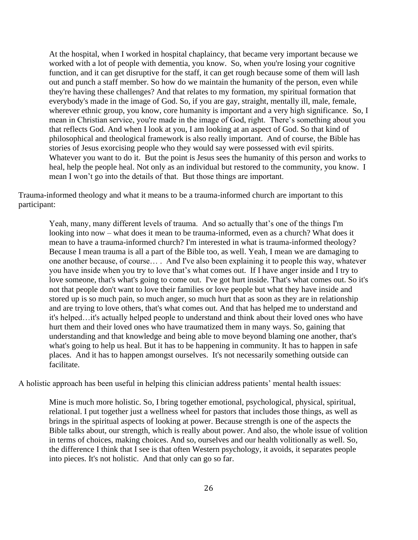At the hospital, when I worked in hospital chaplaincy, that became very important because we worked with a lot of people with dementia, you know. So, when you're losing your cognitive function, and it can get disruptive for the staff, it can get rough because some of them will lash out and punch a staff member. So how do we maintain the humanity of the person, even while they're having these challenges? And that relates to my formation, my spiritual formation that everybody's made in the image of God. So, if you are gay, straight, mentally ill, male, female, wherever ethnic group, you know, core humanity is important and a very high significance. So, I mean in Christian service, you're made in the image of God, right. There's something about you that reflects God. And when I look at you, I am looking at an aspect of God. So that kind of philosophical and theological framework is also really important. And of course, the Bible has stories of Jesus exorcising people who they would say were possessed with evil spirits. Whatever you want to do it. But the point is Jesus sees the humanity of this person and works to heal, help the people heal. Not only as an individual but restored to the community, you know. I mean I won't go into the details of that. But those things are important.

Trauma-informed theology and what it means to be a trauma-informed church are important to this participant:

Yeah, many, many different levels of trauma. And so actually that's one of the things I'm looking into now – what does it mean to be trauma-informed, even as a church? What does it mean to have a trauma-informed church? I'm interested in what is trauma-informed theology? Because I mean trauma is all a part of the Bible too, as well. Yeah, I mean we are damaging to one another because, of course… . And I've also been explaining it to people this way, whatever you have inside when you try to love that's what comes out. If I have anger inside and I try to love someone, that's what's going to come out. I've got hurt inside. That's what comes out. So it's not that people don't want to love their families or love people but what they have inside and stored up is so much pain, so much anger, so much hurt that as soon as they are in relationship and are trying to love others, that's what comes out. And that has helped me to understand and it's helped…it's actually helped people to understand and think about their loved ones who have hurt them and their loved ones who have traumatized them in many ways. So, gaining that understanding and that knowledge and being able to move beyond blaming one another, that's what's going to help us heal. But it has to be happening in community. It has to happen in safe places. And it has to happen amongst ourselves. It's not necessarily something outside can facilitate.

A holistic approach has been useful in helping this clinician address patients' mental health issues:

Mine is much more holistic. So, I bring together emotional, psychological, physical, spiritual, relational. I put together just a wellness wheel for pastors that includes those things, as well as brings in the spiritual aspects of looking at power. Because strength is one of the aspects the Bible talks about, our strength, which is really about power. And also, the whole issue of volition in terms of choices, making choices. And so, ourselves and our health volitionally as well. So, the difference I think that I see is that often Western psychology, it avoids, it separates people into pieces. It's not holistic. And that only can go so far.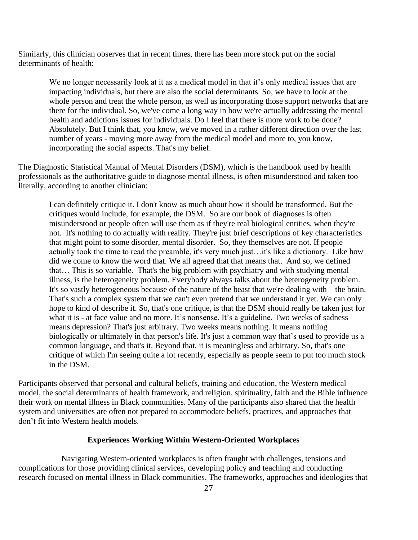Similarly, this clinician observes that in recent times, there has been more stock put on the social determinants of health:

We no longer necessarily look at it as a medical model in that it's only medical issues that are impacting individuals, but there are also the social determinants. So, we have to look at the whole person and treat the whole person, as well as incorporating those support networks that are there for the individual. So, we've come a long way in how we're actually addressing the mental health and addictions issues for individuals. Do I feel that there is more work to be done? Absolutely. But I think that, you know, we've moved in a rather different direction over the last number of years - moving more away from the medical model and more to, you know, incorporating the social aspects. That's my belief.

The Diagnostic Statistical Manual of Mental Disorders (DSM), which is the handbook used by health professionals as the authoritative guide to diagnose mental illness, is often misunderstood and taken too literally, according to another clinician:

I can definitely critique it. I don't know as much about how it should be transformed. But the critiques would include, for example, the DSM. So are our book of diagnoses is often misunderstood or people often will use them as if they're real biological entities, when they're not. It's nothing to do actually with reality. They're just brief descriptions of key characteristics that might point to some disorder, mental disorder. So, they themselves are not. If people actually took the time to read the preamble, it's very much just…it's like a dictionary. Like how did we come to know the word that. We all agreed that that means that. And so, we defined that… This is so variable. That's the big problem with psychiatry and with studying mental illness, is the heterogeneity problem. Everybody always talks about the heterogeneity problem. It's so vastly heterogeneous because of the nature of the beast that we're dealing with – the brain. That's such a complex system that we can't even pretend that we understand it yet. We can only hope to kind of describe it. So, that's one critique, is that the DSM should really be taken just for what it is - at face value and no more. It's nonsense. It's a guideline. Two weeks of sadness means depression? That's just arbitrary. Two weeks means nothing. It means nothing biologically or ultimately in that person's life. It's just a common way that's used to provide us a common language, and that's it. Beyond that, it is meaningless and arbitrary. So, that's one critique of which I'm seeing quite a lot recently, especially as people seem to put too much stock in the DSM.

Participants observed that personal and cultural beliefs, training and education, the Western medical model, the social determinants of health framework, and religion, spirituality, faith and the Bible influence their work on mental illness in Black communities. Many of the participants also shared that the health system and universities are often not prepared to accommodate beliefs, practices, and approaches that don't fit into Western health models.

### **Experiences Working Within Western-Oriented Workplaces**

Navigating Western-oriented workplaces is often fraught with challenges, tensions and complications for those providing clinical services, developing policy and teaching and conducting research focused on mental illness in Black communities. The frameworks, approaches and ideologies that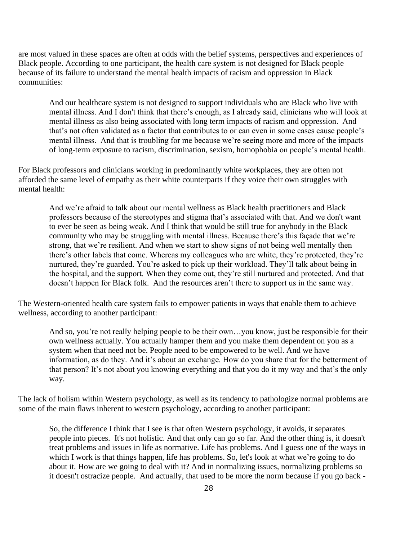are most valued in these spaces are often at odds with the belief systems, perspectives and experiences of Black people. According to one participant, the health care system is not designed for Black people because of its failure to understand the mental health impacts of racism and oppression in Black communities:

And our healthcare system is not designed to support individuals who are Black who live with mental illness. And I don't think that there's enough, as I already said, clinicians who will look at mental illness as also being associated with long term impacts of racism and oppression. And that's not often validated as a factor that contributes to or can even in some cases cause people's mental illness. And that is troubling for me because we're seeing more and more of the impacts of long-term exposure to racism, discrimination, sexism, homophobia on people's mental health.

For Black professors and clinicians working in predominantly white workplaces, they are often not afforded the same level of empathy as their white counterparts if they voice their own struggles with mental health:

And we're afraid to talk about our mental wellness as Black health practitioners and Black professors because of the stereotypes and stigma that's associated with that. And we don't want to ever be seen as being weak. And I think that would be still true for anybody in the Black community who may be struggling with mental illness. Because there's this façade that we're strong, that we're resilient. And when we start to show signs of not being well mentally then there's other labels that come. Whereas my colleagues who are white, they're protected, they're nurtured, they're guarded. You're asked to pick up their workload. They'll talk about being in the hospital, and the support. When they come out, they're still nurtured and protected. And that doesn't happen for Black folk. And the resources aren't there to support us in the same way.

The Western-oriented health care system fails to empower patients in ways that enable them to achieve wellness, according to another participant:

And so, you're not really helping people to be their own…you know, just be responsible for their own wellness actually. You actually hamper them and you make them dependent on you as a system when that need not be. People need to be empowered to be well. And we have information, as do they. And it's about an exchange. How do you share that for the betterment of that person? It's not about you knowing everything and that you do it my way and that's the only way.

The lack of holism within Western psychology, as well as its tendency to pathologize normal problems are some of the main flaws inherent to western psychology, according to another participant:

So, the difference I think that I see is that often Western psychology, it avoids, it separates people into pieces. It's not holistic. And that only can go so far. And the other thing is, it doesn't treat problems and issues in life as normative. Life has problems. And I guess one of the ways in which I work is that things happen, life has problems. So, let's look at what we're going to do about it. How are we going to deal with it? And in normalizing issues, normalizing problems so it doesn't ostracize people. And actually, that used to be more the norm because if you go back -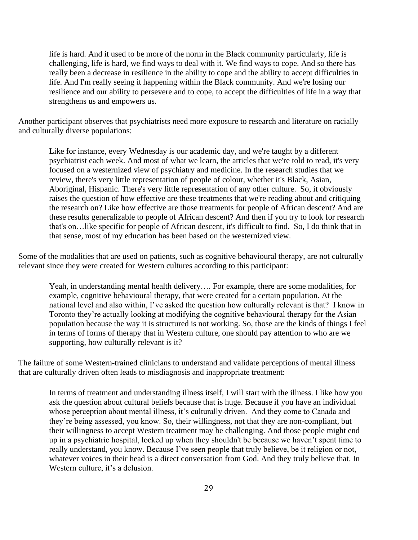life is hard. And it used to be more of the norm in the Black community particularly, life is challenging, life is hard, we find ways to deal with it. We find ways to cope. And so there has really been a decrease in resilience in the ability to cope and the ability to accept difficulties in life. And I'm really seeing it happening within the Black community. And we're losing our resilience and our ability to persevere and to cope, to accept the difficulties of life in a way that strengthens us and empowers us.

Another participant observes that psychiatrists need more exposure to research and literature on racially and culturally diverse populations:

Like for instance, every Wednesday is our academic day, and we're taught by a different psychiatrist each week. And most of what we learn, the articles that we're told to read, it's very focused on a westernized view of psychiatry and medicine. In the research studies that we review, there's very little representation of people of colour, whether it's Black, Asian, Aboriginal, Hispanic. There's very little representation of any other culture. So, it obviously raises the question of how effective are these treatments that we're reading about and critiquing the research on? Like how effective are those treatments for people of African descent? And are these results generalizable to people of African descent? And then if you try to look for research that's on…like specific for people of African descent, it's difficult to find. So, I do think that in that sense, most of my education has been based on the westernized view.

Some of the modalities that are used on patients, such as cognitive behavioural therapy, are not culturally relevant since they were created for Western cultures according to this participant:

Yeah, in understanding mental health delivery…. For example, there are some modalities, for example, cognitive behavioural therapy, that were created for a certain population. At the national level and also within, I've asked the question how culturally relevant is that? I know in Toronto they're actually looking at modifying the cognitive behavioural therapy for the Asian population because the way it is structured is not working. So, those are the kinds of things I feel in terms of forms of therapy that in Western culture, one should pay attention to who are we supporting, how culturally relevant is it?

The failure of some Western-trained clinicians to understand and validate perceptions of mental illness that are culturally driven often leads to misdiagnosis and inappropriate treatment:

In terms of treatment and understanding illness itself, I will start with the illness. I like how you ask the question about cultural beliefs because that is huge. Because if you have an individual whose perception about mental illness, it's culturally driven. And they come to Canada and they're being assessed, you know. So, their willingness, not that they are non-compliant, but their willingness to accept Western treatment may be challenging. And those people might end up in a psychiatric hospital, locked up when they shouldn't be because we haven't spent time to really understand, you know. Because I've seen people that truly believe, be it religion or not, whatever voices in their head is a direct conversation from God. And they truly believe that. In Western culture, it's a delusion.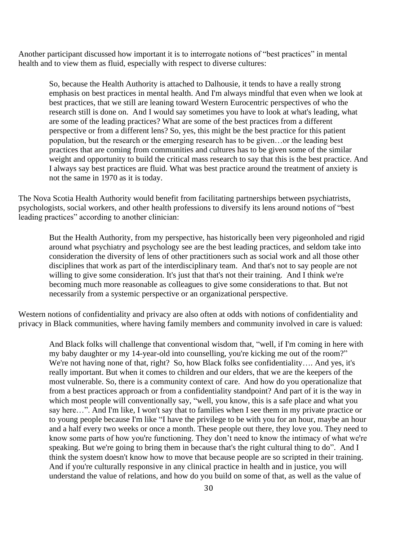Another participant discussed how important it is to interrogate notions of "best practices" in mental health and to view them as fluid, especially with respect to diverse cultures:

So, because the Health Authority is attached to Dalhousie, it tends to have a really strong emphasis on best practices in mental health. And I'm always mindful that even when we look at best practices, that we still are leaning toward Western Eurocentric perspectives of who the research still is done on. And I would say sometimes you have to look at what's leading, what are some of the leading practices? What are some of the best practices from a different perspective or from a different lens? So, yes, this might be the best practice for this patient population, but the research or the emerging research has to be given…or the leading best practices that are coming from communities and cultures has to be given some of the similar weight and opportunity to build the critical mass research to say that this is the best practice. And I always say best practices are fluid. What was best practice around the treatment of anxiety is not the same in 1970 as it is today.

The Nova Scotia Health Authority would benefit from facilitating partnerships between psychiatrists, psychologists, social workers, and other health professions to diversify its lens around notions of "best leading practices" according to another clinician:

But the Health Authority, from my perspective, has historically been very pigeonholed and rigid around what psychiatry and psychology see are the best leading practices, and seldom take into consideration the diversity of lens of other practitioners such as social work and all those other disciplines that work as part of the interdisciplinary team. And that's not to say people are not willing to give some consideration. It's just that that's not their training. And I think we're becoming much more reasonable as colleagues to give some considerations to that. But not necessarily from a systemic perspective or an organizational perspective.

Western notions of confidentiality and privacy are also often at odds with notions of confidentiality and privacy in Black communities, where having family members and community involved in care is valued:

And Black folks will challenge that conventional wisdom that, "well, if I'm coming in here with my baby daughter or my 14-year-old into counselling, you're kicking me out of the room?" We're not having none of that, right? So, how Black folks see confidentiality…. And yes, it's really important. But when it comes to children and our elders, that we are the keepers of the most vulnerable. So, there is a community context of care. And how do you operationalize that from a best practices approach or from a confidentiality standpoint? And part of it is the way in which most people will conventionally say, "well, you know, this is a safe place and what you say here…". And I'm like, I won't say that to families when I see them in my private practice or to young people because I'm like "I have the privilege to be with you for an hour, maybe an hour and a half every two weeks or once a month. These people out there, they love you. They need to know some parts of how you're functioning. They don't need to know the intimacy of what we're speaking. But we're going to bring them in because that's the right cultural thing to do". And I think the system doesn't know how to move that because people are so scripted in their training. And if you're culturally responsive in any clinical practice in health and in justice, you will understand the value of relations, and how do you build on some of that, as well as the value of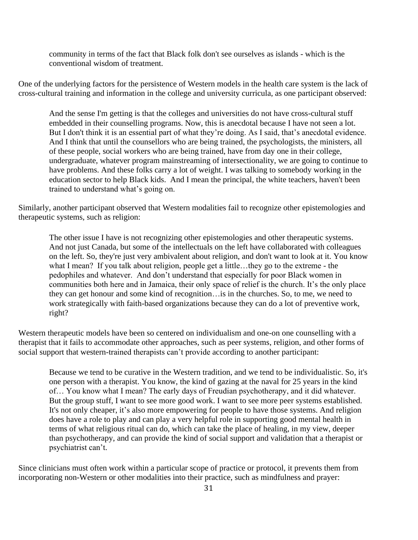community in terms of the fact that Black folk don't see ourselves as islands - which is the conventional wisdom of treatment.

One of the underlying factors for the persistence of Western models in the health care system is the lack of cross-cultural training and information in the college and university curricula, as one participant observed:

And the sense I'm getting is that the colleges and universities do not have cross-cultural stuff embedded in their counselling programs. Now, this is anecdotal because I have not seen a lot. But I don't think it is an essential part of what they're doing. As I said, that's anecdotal evidence. And I think that until the counsellors who are being trained, the psychologists, the ministers, all of these people, social workers who are being trained, have from day one in their college, undergraduate, whatever program mainstreaming of intersectionality, we are going to continue to have problems. And these folks carry a lot of weight. I was talking to somebody working in the education sector to help Black kids. And I mean the principal, the white teachers, haven't been trained to understand what's going on.

Similarly, another participant observed that Western modalities fail to recognize other epistemologies and therapeutic systems, such as religion:

The other issue I have is not recognizing other epistemologies and other therapeutic systems. And not just Canada, but some of the intellectuals on the left have collaborated with colleagues on the left. So, they're just very ambivalent about religion, and don't want to look at it. You know what I mean? If you talk about religion, people get a little…they go to the extreme - the pedophiles and whatever. And don't understand that especially for poor Black women in communities both here and in Jamaica, their only space of relief is the church. It's the only place they can get honour and some kind of recognition…is in the churches. So, to me, we need to work strategically with faith-based organizations because they can do a lot of preventive work, right?

Western therapeutic models have been so centered on individualism and one-on one counselling with a therapist that it fails to accommodate other approaches, such as peer systems, religion, and other forms of social support that western-trained therapists can't provide according to another participant:

Because we tend to be curative in the Western tradition, and we tend to be individualistic. So, it's one person with a therapist. You know, the kind of gazing at the naval for 25 years in the kind of… You know what I mean? The early days of Freudian psychotherapy, and it did whatever. But the group stuff, I want to see more good work. I want to see more peer systems established. It's not only cheaper, it's also more empowering for people to have those systems. And religion does have a role to play and can play a very helpful role in supporting good mental health in terms of what religious ritual can do, which can take the place of healing, in my view, deeper than psychotherapy, and can provide the kind of social support and validation that a therapist or psychiatrist can't.

Since clinicians must often work within a particular scope of practice or protocol, it prevents them from incorporating non-Western or other modalities into their practice, such as mindfulness and prayer: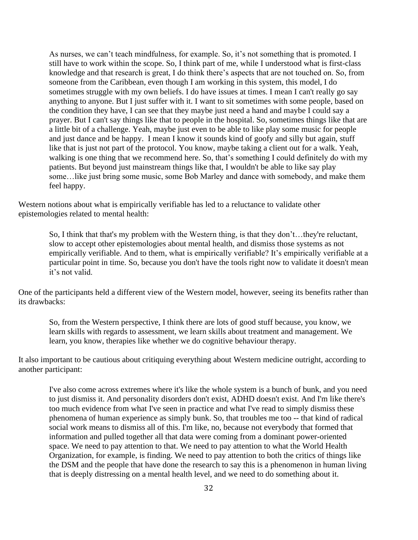As nurses, we can't teach mindfulness, for example. So, it's not something that is promoted. I still have to work within the scope. So, I think part of me, while I understood what is first-class knowledge and that research is great, I do think there's aspects that are not touched on. So, from someone from the Caribbean, even though I am working in this system, this model, I do sometimes struggle with my own beliefs. I do have issues at times. I mean I can't really go say anything to anyone. But I just suffer with it. I want to sit sometimes with some people, based on the condition they have, I can see that they maybe just need a hand and maybe I could say a prayer. But I can't say things like that to people in the hospital. So, sometimes things like that are a little bit of a challenge. Yeah, maybe just even to be able to like play some music for people and just dance and be happy. I mean I know it sounds kind of goofy and silly but again, stuff like that is just not part of the protocol. You know, maybe taking a client out for a walk. Yeah, walking is one thing that we recommend here. So, that's something I could definitely do with my patients. But beyond just mainstream things like that, I wouldn't be able to like say play some…like just bring some music, some Bob Marley and dance with somebody, and make them feel happy.

Western notions about what is empirically verifiable has led to a reluctance to validate other epistemologies related to mental health:

So, I think that that's my problem with the Western thing, is that they don't…they're reluctant, slow to accept other epistemologies about mental health, and dismiss those systems as not empirically verifiable. And to them, what is empirically verifiable? It's empirically verifiable at a particular point in time. So, because you don't have the tools right now to validate it doesn't mean it's not valid.

One of the participants held a different view of the Western model, however, seeing its benefits rather than its drawbacks:

So, from the Western perspective, I think there are lots of good stuff because, you know, we learn skills with regards to assessment, we learn skills about treatment and management. We learn, you know, therapies like whether we do cognitive behaviour therapy.

It also important to be cautious about critiquing everything about Western medicine outright, according to another participant:

I've also come across extremes where it's like the whole system is a bunch of bunk, and you need to just dismiss it. And personality disorders don't exist, ADHD doesn't exist. And I'm like there's too much evidence from what I've seen in practice and what I've read to simply dismiss these phenomena of human experience as simply bunk. So, that troubles me too -- that kind of radical social work means to dismiss all of this. I'm like, no, because not everybody that formed that information and pulled together all that data were coming from a dominant power-oriented space. We need to pay attention to that. We need to pay attention to what the World Health Organization, for example, is finding. We need to pay attention to both the critics of things like the DSM and the people that have done the research to say this is a phenomenon in human living that is deeply distressing on a mental health level, and we need to do something about it.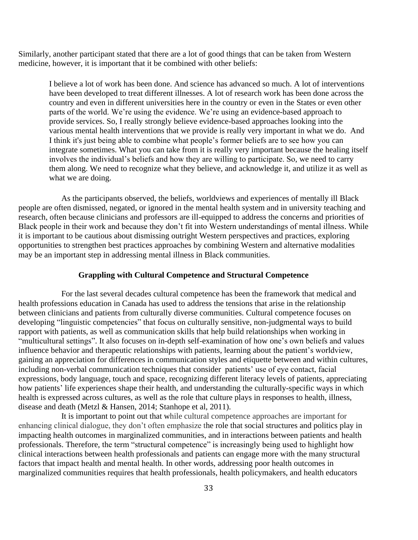Similarly, another participant stated that there are a lot of good things that can be taken from Western medicine, however, it is important that it be combined with other beliefs:

I believe a lot of work has been done. And science has advanced so much. A lot of interventions have been developed to treat different illnesses. A lot of research work has been done across the country and even in different universities here in the country or even in the States or even other parts of the world. We're using the evidence. We're using an evidence-based approach to provide services. So, I really strongly believe evidence-based approaches looking into the various mental health interventions that we provide is really very important in what we do. And I think it's just being able to combine what people's former beliefs are to see how you can integrate sometimes. What you can take from it is really very important because the healing itself involves the individual's beliefs and how they are willing to participate. So, we need to carry them along. We need to recognize what they believe, and acknowledge it, and utilize it as well as what we are doing.

As the participants observed, the beliefs, worldviews and experiences of mentally ill Black people are often dismissed, negated, or ignored in the mental health system and in university teaching and research, often because clinicians and professors are ill-equipped to address the concerns and priorities of Black people in their work and because they don't fit into Western understandings of mental illness. While it is important to be cautious about dismissing outright Western perspectives and practices, exploring opportunities to strengthen best practices approaches by combining Western and alternative modalities may be an important step in addressing mental illness in Black communities.

### **Grappling with Cultural Competence and Structural Competence**

For the last several decades cultural competence has been the framework that medical and health professions education in Canada has used to address the tensions that arise in the relationship between clinicians and patients from culturally diverse communities. Cultural competence focuses on developing "linguistic competencies" that focus on culturally sensitive, non-judgmental ways to build rapport with patients, as well as communication skills that help build relationships when working in "multicultural settings". It also focuses on in-depth self-examination of how one's own beliefs and values influence behavior and therapeutic relationships with patients, learning about the patient's worldview, gaining an appreciation for differences in communication styles and etiquette between and within cultures, including non-verbal communication techniques that consider patients' use of eye contact, facial expressions, body language, touch and space, recognizing different literacy levels of patients, appreciating how patients' life experiences shape their health, and understanding the culturally-specific ways in which health is expressed across cultures, as well as the role that culture plays in responses to health, illness, disease and death (Metzl & Hansen, 2014; Stanhope et al, 2011).

It is important to point out that while cultural competence approaches are important for enhancing clinical dialogue, they don't often emphasize the role that social structures and politics play in impacting health outcomes in marginalized communities, and in interactions between patients and health professionals. Therefore, the term "structural competence" is increasingly being used to highlight how clinical interactions between health professionals and patients can engage more with the many structural factors that impact health and mental health. In other words, addressing poor health outcomes in marginalized communities requires that health professionals, health policymakers, and health educators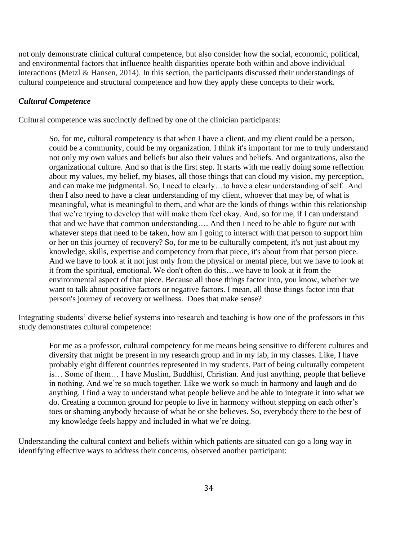not only demonstrate clinical cultural competence, but also consider how the social, economic, political, and environmental factors that influence health disparities operate both within and above individual interactions (Metzl & Hansen, 2014). In this section, the participants discussed their understandings of cultural competence and structural competence and how they apply these concepts to their work.

### *Cultural Competence*

Cultural competence was succinctly defined by one of the clinician participants:

So, for me, cultural competency is that when I have a client, and my client could be a person, could be a community, could be my organization. I think it's important for me to truly understand not only my own values and beliefs but also their values and beliefs. And organizations, also the organizational culture. And so that is the first step. It starts with me really doing some reflection about my values, my belief, my biases, all those things that can cloud my vision, my perception, and can make me judgmental. So, I need to clearly…to have a clear understanding of self. And then I also need to have a clear understanding of my client, whoever that may be, of what is meaningful, what is meaningful to them, and what are the kinds of things within this relationship that we're trying to develop that will make them feel okay. And, so for me, if I can understand that and we have that common understanding…. And then I need to be able to figure out with whatever steps that need to be taken, how am I going to interact with that person to support him or her on this journey of recovery? So, for me to be culturally competent, it's not just about my knowledge, skills, expertise and competency from that piece, it's about from that person piece. And we have to look at it not just only from the physical or mental piece, but we have to look at it from the spiritual, emotional. We don't often do this…we have to look at it from the environmental aspect of that piece. Because all those things factor into, you know, whether we want to talk about positive factors or negative factors. I mean, all those things factor into that person's journey of recovery or wellness. Does that make sense?

Integrating students' diverse belief systems into research and teaching is how one of the professors in this study demonstrates cultural competence:

For me as a professor, cultural competency for me means being sensitive to different cultures and diversity that might be present in my research group and in my lab, in my classes. Like, I have probably eight different countries represented in my students. Part of being culturally competent is… Some of them… I have Muslim, Buddhist, Christian. And just anything, people that believe in nothing. And we're so much together. Like we work so much in harmony and laugh and do anything. I find a way to understand what people believe and be able to integrate it into what we do. Creating a common ground for people to live in harmony without stepping on each other's toes or shaming anybody because of what he or she believes. So, everybody there to the best of my knowledge feels happy and included in what we're doing.

Understanding the cultural context and beliefs within which patients are situated can go a long way in identifying effective ways to address their concerns, observed another participant: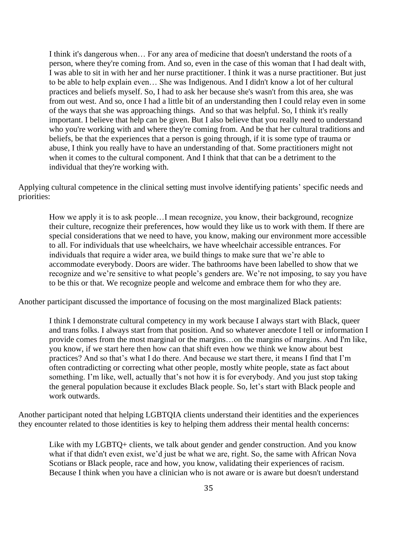I think it's dangerous when… For any area of medicine that doesn't understand the roots of a person, where they're coming from. And so, even in the case of this woman that I had dealt with, I was able to sit in with her and her nurse practitioner. I think it was a nurse practitioner. But just to be able to help explain even… She was Indigenous. And I didn't know a lot of her cultural practices and beliefs myself. So, I had to ask her because she's wasn't from this area, she was from out west. And so, once I had a little bit of an understanding then I could relay even in some of the ways that she was approaching things. And so that was helpful. So, I think it's really important. I believe that help can be given. But I also believe that you really need to understand who you're working with and where they're coming from. And be that her cultural traditions and beliefs, be that the experiences that a person is going through, if it is some type of trauma or abuse, I think you really have to have an understanding of that. Some practitioners might not when it comes to the cultural component. And I think that that can be a detriment to the individual that they're working with.

Applying cultural competence in the clinical setting must involve identifying patients' specific needs and priorities:

How we apply it is to ask people…I mean recognize, you know, their background, recognize their culture, recognize their preferences, how would they like us to work with them. If there are special considerations that we need to have, you know, making our environment more accessible to all. For individuals that use wheelchairs, we have wheelchair accessible entrances. For individuals that require a wider area, we build things to make sure that we're able to accommodate everybody. Doors are wider. The bathrooms have been labelled to show that we recognize and we're sensitive to what people's genders are. We're not imposing, to say you have to be this or that. We recognize people and welcome and embrace them for who they are.

Another participant discussed the importance of focusing on the most marginalized Black patients:

I think I demonstrate cultural competency in my work because I always start with Black, queer and trans folks. I always start from that position. And so whatever anecdote I tell or information I provide comes from the most marginal or the margins…on the margins of margins. And I'm like, you know, if we start here then how can that shift even how we think we know about best practices? And so that's what I do there. And because we start there, it means I find that I'm often contradicting or correcting what other people, mostly white people, state as fact about something. I'm like, well, actually that's not how it is for everybody. And you just stop taking the general population because it excludes Black people. So, let's start with Black people and work outwards.

Another participant noted that helping LGBTQIA clients understand their identities and the experiences they encounter related to those identities is key to helping them address their mental health concerns:

Like with my LGBTQ+ clients, we talk about gender and gender construction. And you know what if that didn't even exist, we'd just be what we are, right. So, the same with African Nova Scotians or Black people, race and how, you know, validating their experiences of racism. Because I think when you have a clinician who is not aware or is aware but doesn't understand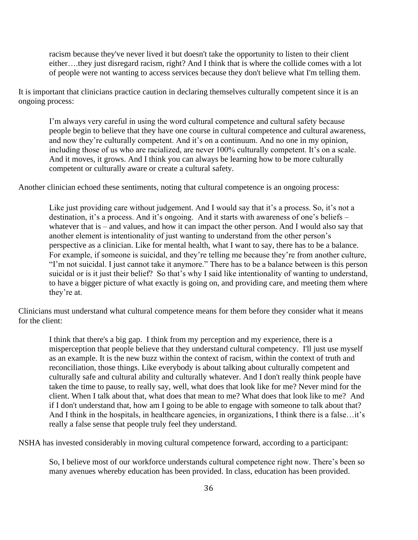racism because they've never lived it but doesn't take the opportunity to listen to their client either….they just disregard racism, right? And I think that is where the collide comes with a lot of people were not wanting to access services because they don't believe what I'm telling them.

It is important that clinicians practice caution in declaring themselves culturally competent since it is an ongoing process:

I'm always very careful in using the word cultural competence and cultural safety because people begin to believe that they have one course in cultural competence and cultural awareness, and now they're culturally competent. And it's on a continuum. And no one in my opinion, including those of us who are racialized, are never 100% culturally competent. It's on a scale. And it moves, it grows. And I think you can always be learning how to be more culturally competent or culturally aware or create a cultural safety.

Another clinician echoed these sentiments, noting that cultural competence is an ongoing process:

Like just providing care without judgement. And I would say that it's a process. So, it's not a destination, it's a process. And it's ongoing. And it starts with awareness of one's beliefs – whatever that is – and values, and how it can impact the other person. And I would also say that another element is intentionality of just wanting to understand from the other person's perspective as a clinician. Like for mental health, what I want to say, there has to be a balance. For example, if someone is suicidal, and they're telling me because they're from another culture, "I'm not suicidal. I just cannot take it anymore." There has to be a balance between is this person suicidal or is it just their belief? So that's why I said like intentionality of wanting to understand, to have a bigger picture of what exactly is going on, and providing care, and meeting them where they're at.

Clinicians must understand what cultural competence means for them before they consider what it means for the client:

I think that there's a big gap. I think from my perception and my experience, there is a misperception that people believe that they understand cultural competency. I'll just use myself as an example. It is the new buzz within the context of racism, within the context of truth and reconciliation, those things. Like everybody is about talking about culturally competent and culturally safe and cultural ability and culturally whatever. And I don't really think people have taken the time to pause, to really say, well, what does that look like for me? Never mind for the client. When I talk about that, what does that mean to me? What does that look like to me? And if I don't understand that, how am I going to be able to engage with someone to talk about that? And I think in the hospitals, in healthcare agencies, in organizations, I think there is a false…it's really a false sense that people truly feel they understand.

NSHA has invested considerably in moving cultural competence forward, according to a participant:

So, I believe most of our workforce understands cultural competence right now. There's been so many avenues whereby education has been provided. In class, education has been provided.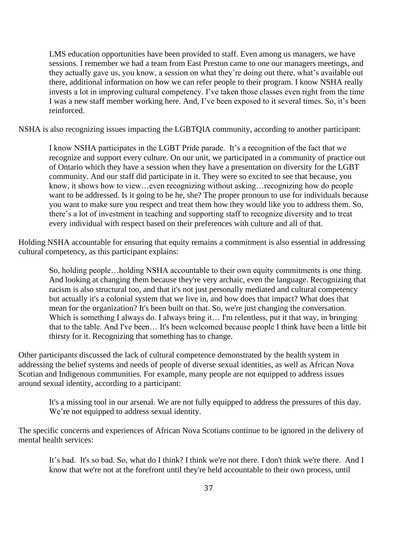LMS education opportunities have been provided to staff. Even among us managers, we have sessions. I remember we had a team from East Preston came to one our managers meetings, and they actually gave us, you know, a session on what they're doing out there, what's available out there, additional information on how we can refer people to their program. I know NSHA really invests a lot in improving cultural competency. I've taken those classes even right from the time I was a new staff member working here. And, I've been exposed to it several times. So, it's been reinforced.

NSHA is also recognizing issues impacting the LGBTQIA community, according to another participant:

I know NSHA participates in the LGBT Pride parade. It's a recognition of the fact that we recognize and support every culture. On our unit, we participated in a community of practice out of Ontario which they have a session when they have a presentation on diversity for the LGBT community. And our staff did participate in it. They were so excited to see that because, you know, it shows how to view…even recognizing without asking…recognizing how do people want to be addressed. Is it going to be he, she? The proper pronoun to use for individuals because you want to make sure you respect and treat them how they would like you to address them. So, there's a lot of investment in teaching and supporting staff to recognize diversity and to treat every individual with respect based on their preferences with culture and all of that.

Holding NSHA accountable for ensuring that equity remains a commitment is also essential in addressing cultural competency, as this participant explains:

So, holding people…holding NSHA accountable to their own equity commitments is one thing. And looking at changing them because they're very archaic, even the language. Recognizing that racism is also structural too, and that it's not just personally mediated and cultural competency but actually it's a colonial system that we live in, and how does that impact? What does that mean for the organization? It's been built on that. So, we're just changing the conversation. Which is something I always do. I always bring it... I'm relentless, put it that way, in bringing that to the table. And I've been… It's been welcomed because people I think have been a little bit thirsty for it. Recognizing that something has to change.

Other participants discussed the lack of cultural competence demonstrated by the health system in addressing the belief systems and needs of people of diverse sexual identities, as well as African Nova Scotian and Indigenous communities. For example, many people are not equipped to address issues around sexual identity, according to a participant:

It's a missing tool in our arsenal. We are not fully equipped to address the pressures of this day. We're not equipped to address sexual identity.

The specific concerns and experiences of African Nova Scotians continue to be ignored in the delivery of mental health services:

It's bad. It's so bad. So, what do I think? I think we're not there. I don't think we're there. And I know that we're not at the forefront until they're held accountable to their own process, until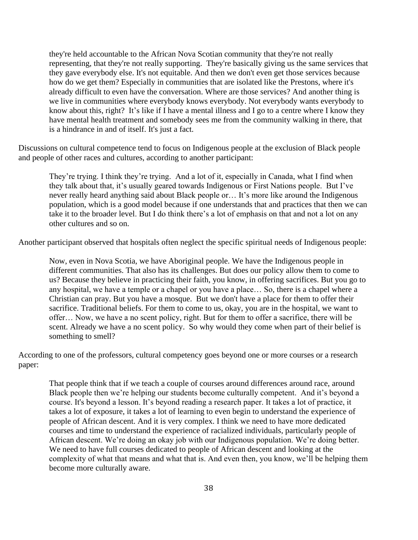they're held accountable to the African Nova Scotian community that they're not really representing, that they're not really supporting. They're basically giving us the same services that they gave everybody else. It's not equitable. And then we don't even get those services because how do we get them? Especially in communities that are isolated like the Prestons, where it's already difficult to even have the conversation. Where are those services? And another thing is we live in communities where everybody knows everybody. Not everybody wants everybody to know about this, right? It's like if I have a mental illness and I go to a centre where I know they have mental health treatment and somebody sees me from the community walking in there, that is a hindrance in and of itself. It's just a fact.

Discussions on cultural competence tend to focus on Indigenous people at the exclusion of Black people and people of other races and cultures, according to another participant:

They're trying. I think they're trying. And a lot of it, especially in Canada, what I find when they talk about that, it's usually geared towards Indigenous or First Nations people. But I've never really heard anything said about Black people or… It's more like around the Indigenous population, which is a good model because if one understands that and practices that then we can take it to the broader level. But I do think there's a lot of emphasis on that and not a lot on any other cultures and so on.

Another participant observed that hospitals often neglect the specific spiritual needs of Indigenous people:

Now, even in Nova Scotia, we have Aboriginal people. We have the Indigenous people in different communities. That also has its challenges. But does our policy allow them to come to us? Because they believe in practicing their faith, you know, in offering sacrifices. But you go to any hospital, we have a temple or a chapel or you have a place… So, there is a chapel where a Christian can pray. But you have a mosque. But we don't have a place for them to offer their sacrifice. Traditional beliefs. For them to come to us, okay, you are in the hospital, we want to offer… Now, we have a no scent policy, right. But for them to offer a sacrifice, there will be scent. Already we have a no scent policy. So why would they come when part of their belief is something to smell?

According to one of the professors, cultural competency goes beyond one or more courses or a research paper:

That people think that if we teach a couple of courses around differences around race, around Black people then we're helping our students become culturally competent. And it's beyond a course. It's beyond a lesson. It's beyond reading a research paper. It takes a lot of practice, it takes a lot of exposure, it takes a lot of learning to even begin to understand the experience of people of African descent. And it is very complex. I think we need to have more dedicated courses and time to understand the experience of racialized individuals, particularly people of African descent. We're doing an okay job with our Indigenous population. We're doing better. We need to have full courses dedicated to people of African descent and looking at the complexity of what that means and what that is. And even then, you know, we'll be helping them become more culturally aware.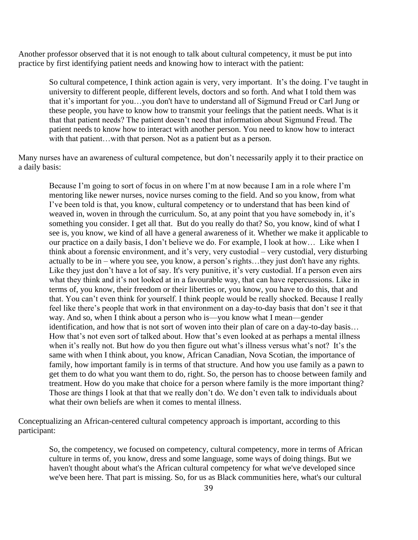Another professor observed that it is not enough to talk about cultural competency, it must be put into practice by first identifying patient needs and knowing how to interact with the patient:

So cultural competence, I think action again is very, very important. It's the doing. I've taught in university to different people, different levels, doctors and so forth. And what I told them was that it's important for you…you don't have to understand all of Sigmund Freud or Carl Jung or these people, you have to know how to transmit your feelings that the patient needs. What is it that that patient needs? The patient doesn't need that information about Sigmund Freud. The patient needs to know how to interact with another person. You need to know how to interact with that patient...with that person. Not as a patient but as a person.

Many nurses have an awareness of cultural competence, but don't necessarily apply it to their practice on a daily basis:

Because I'm going to sort of focus in on where I'm at now because I am in a role where I'm mentoring like newer nurses, novice nurses coming to the field. And so you know, from what I've been told is that, you know, cultural competency or to understand that has been kind of weaved in, woven in through the curriculum. So, at any point that you have somebody in, it's something you consider. I get all that. But do you really do that? So, you know, kind of what I see is, you know, we kind of all have a general awareness of it. Whether we make it applicable to our practice on a daily basis, I don't believe we do. For example, I look at how… Like when I think about a forensic environment, and it's very, very custodial – very custodial, very disturbing actually to be in – where you see, you know, a person's rights…they just don't have any rights. Like they just don't have a lot of say. It's very punitive, it's very custodial. If a person even airs what they think and it's not looked at in a favourable way, that can have repercussions. Like in terms of, you know, their freedom or their liberties or, you know, you have to do this, that and that. You can't even think for yourself. I think people would be really shocked. Because I really feel like there's people that work in that environment on a day-to-day basis that don't see it that way. And so, when I think about a person who is—you know what I mean—gender identification, and how that is not sort of woven into their plan of care on a day-to-day basis… How that's not even sort of talked about. How that's even looked at as perhaps a mental illness when it's really not. But how do you then figure out what's illness versus what's not? It's the same with when I think about, you know, African Canadian, Nova Scotian, the importance of family, how important family is in terms of that structure. And how you use family as a pawn to get them to do what you want them to do, right. So, the person has to choose between family and treatment. How do you make that choice for a person where family is the more important thing? Those are things I look at that that we really don't do. We don't even talk to individuals about what their own beliefs are when it comes to mental illness.

Conceptualizing an African-centered cultural competency approach is important, according to this participant:

So, the competency, we focused on competency, cultural competency, more in terms of African culture in terms of, you know, dress and some language, some ways of doing things. But we haven't thought about what's the African cultural competency for what we've developed since we've been here. That part is missing. So, for us as Black communities here, what's our cultural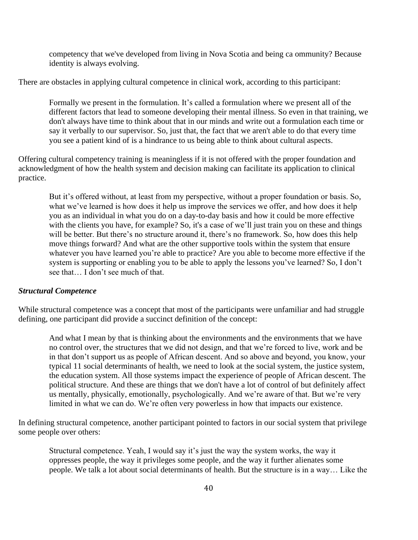competency that we've developed from living in Nova Scotia and being ca ommunity? Because identity is always evolving.

There are obstacles in applying cultural competence in clinical work, according to this participant:

Formally we present in the formulation. It's called a formulation where we present all of the different factors that lead to someone developing their mental illness. So even in that training, we don't always have time to think about that in our minds and write out a formulation each time or say it verbally to our supervisor. So, just that, the fact that we aren't able to do that every time you see a patient kind of is a hindrance to us being able to think about cultural aspects.

Offering cultural competency training is meaningless if it is not offered with the proper foundation and acknowledgment of how the health system and decision making can facilitate its application to clinical practice.

But it's offered without, at least from my perspective, without a proper foundation or basis. So, what we've learned is how does it help us improve the services we offer, and how does it help you as an individual in what you do on a day-to-day basis and how it could be more effective with the clients you have, for example? So, it's a case of we'll just train you on these and things will be better. But there's no structure around it, there's no framework. So, how does this help move things forward? And what are the other supportive tools within the system that ensure whatever you have learned you're able to practice? Are you able to become more effective if the system is supporting or enabling you to be able to apply the lessons you've learned? So, I don't see that… I don't see much of that.

#### *Structural Competence*

While structural competence was a concept that most of the participants were unfamiliar and had struggle defining, one participant did provide a succinct definition of the concept:

And what I mean by that is thinking about the environments and the environments that we have no control over, the structures that we did not design, and that we're forced to live, work and be in that don't support us as people of African descent. And so above and beyond, you know, your typical 11 social determinants of health, we need to look at the social system, the justice system, the education system. All those systems impact the experience of people of African descent. The political structure. And these are things that we don't have a lot of control of but definitely affect us mentally, physically, emotionally, psychologically. And we're aware of that. But we're very limited in what we can do. We're often very powerless in how that impacts our existence.

In defining structural competence, another participant pointed to factors in our social system that privilege some people over others:

Structural competence. Yeah, I would say it's just the way the system works, the way it oppresses people, the way it privileges some people, and the way it further alienates some people. We talk a lot about social determinants of health. But the structure is in a way… Like the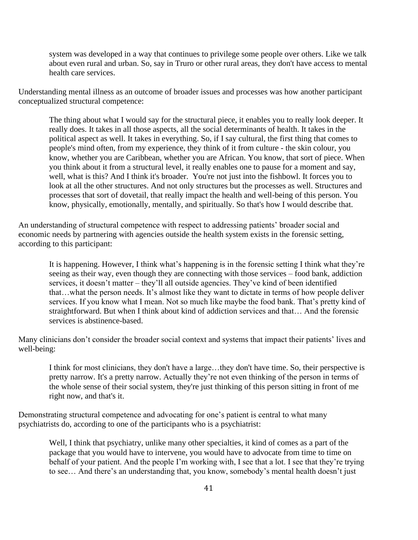system was developed in a way that continues to privilege some people over others. Like we talk about even rural and urban. So, say in Truro or other rural areas, they don't have access to mental health care services.

Understanding mental illness as an outcome of broader issues and processes was how another participant conceptualized structural competence:

The thing about what I would say for the structural piece, it enables you to really look deeper. It really does. It takes in all those aspects, all the social determinants of health. It takes in the political aspect as well. It takes in everything. So, if I say cultural, the first thing that comes to people's mind often, from my experience, they think of it from culture - the skin colour, you know, whether you are Caribbean, whether you are African. You know, that sort of piece. When you think about it from a structural level, it really enables one to pause for a moment and say, well, what is this? And I think it's broader. You're not just into the fishbowl. It forces you to look at all the other structures. And not only structures but the processes as well. Structures and processes that sort of dovetail, that really impact the health and well-being of this person. You know, physically, emotionally, mentally, and spiritually. So that's how I would describe that.

An understanding of structural competence with respect to addressing patients' broader social and economic needs by partnering with agencies outside the health system exists in the forensic setting, according to this participant:

It is happening. However, I think what's happening is in the forensic setting I think what they're seeing as their way, even though they are connecting with those services – food bank, addiction services, it doesn't matter – they'll all outside agencies. They've kind of been identified that…what the person needs. It's almost like they want to dictate in terms of how people deliver services. If you know what I mean. Not so much like maybe the food bank. That's pretty kind of straightforward. But when I think about kind of addiction services and that… And the forensic services is abstinence-based.

Many clinicians don't consider the broader social context and systems that impact their patients' lives and well-being:

I think for most clinicians, they don't have a large…they don't have time. So, their perspective is pretty narrow. It's a pretty narrow. Actually they're not even thinking of the person in terms of the whole sense of their social system, they're just thinking of this person sitting in front of me right now, and that's it.

Demonstrating structural competence and advocating for one's patient is central to what many psychiatrists do, according to one of the participants who is a psychiatrist:

Well, I think that psychiatry, unlike many other specialties, it kind of comes as a part of the package that you would have to intervene, you would have to advocate from time to time on behalf of your patient. And the people I'm working with, I see that a lot. I see that they're trying to see… And there's an understanding that, you know, somebody's mental health doesn't just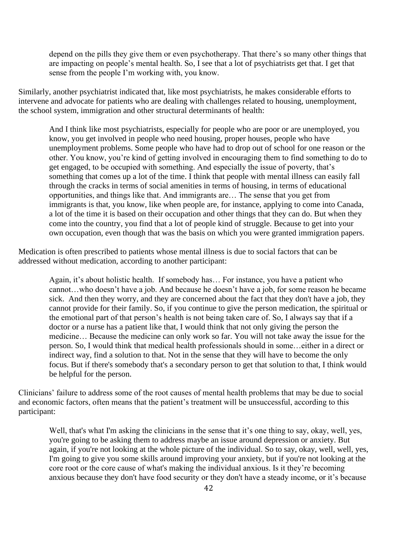depend on the pills they give them or even psychotherapy. That there's so many other things that are impacting on people's mental health. So, I see that a lot of psychiatrists get that. I get that sense from the people I'm working with, you know.

Similarly, another psychiatrist indicated that, like most psychiatrists, he makes considerable efforts to intervene and advocate for patients who are dealing with challenges related to housing, unemployment, the school system, immigration and other structural determinants of health:

And I think like most psychiatrists, especially for people who are poor or are unemployed, you know, you get involved in people who need housing, proper houses, people who have unemployment problems. Some people who have had to drop out of school for one reason or the other. You know, you're kind of getting involved in encouraging them to find something to do to get engaged, to be occupied with something. And especially the issue of poverty, that's something that comes up a lot of the time. I think that people with mental illness can easily fall through the cracks in terms of social amenities in terms of housing, in terms of educational opportunities, and things like that. And immigrants are… The sense that you get from immigrants is that, you know, like when people are, for instance, applying to come into Canada, a lot of the time it is based on their occupation and other things that they can do. But when they come into the country, you find that a lot of people kind of struggle. Because to get into your own occupation, even though that was the basis on which you were granted immigration papers.

Medication is often prescribed to patients whose mental illness is due to social factors that can be addressed without medication, according to another participant:

Again, it's about holistic health. If somebody has… For instance, you have a patient who cannot…who doesn't have a job. And because he doesn't have a job, for some reason he became sick. And then they worry, and they are concerned about the fact that they don't have a job, they cannot provide for their family. So, if you continue to give the person medication, the spiritual or the emotional part of that person's health is not being taken care of. So, I always say that if a doctor or a nurse has a patient like that, I would think that not only giving the person the medicine… Because the medicine can only work so far. You will not take away the issue for the person. So, I would think that medical health professionals should in some…either in a direct or indirect way, find a solution to that. Not in the sense that they will have to become the only focus. But if there's somebody that's a secondary person to get that solution to that, I think would be helpful for the person.

Clinicians' failure to address some of the root causes of mental health problems that may be due to social and economic factors, often means that the patient's treatment will be unsuccessful, according to this participant:

Well, that's what I'm asking the clinicians in the sense that it's one thing to say, okay, well, yes, you're going to be asking them to address maybe an issue around depression or anxiety. But again, if you're not looking at the whole picture of the individual. So to say, okay, well, well, yes, I'm going to give you some skills around improving your anxiety, but if you're not looking at the core root or the core cause of what's making the individual anxious. Is it they're becoming anxious because they don't have food security or they don't have a steady income, or it's because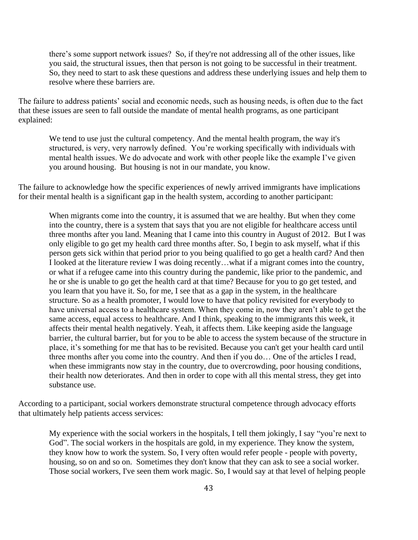there's some support network issues? So, if they're not addressing all of the other issues, like you said, the structural issues, then that person is not going to be successful in their treatment. So, they need to start to ask these questions and address these underlying issues and help them to resolve where these barriers are.

The failure to address patients' social and economic needs, such as housing needs, is often due to the fact that these issues are seen to fall outside the mandate of mental health programs, as one participant explained:

We tend to use just the cultural competency. And the mental health program, the way it's structured, is very, very narrowly defined. You're working specifically with individuals with mental health issues. We do advocate and work with other people like the example I've given you around housing. But housing is not in our mandate, you know.

The failure to acknowledge how the specific experiences of newly arrived immigrants have implications for their mental health is a significant gap in the health system, according to another participant:

When migrants come into the country, it is assumed that we are healthy. But when they come into the country, there is a system that says that you are not eligible for healthcare access until three months after you land. Meaning that I came into this country in August of 2012. But I was only eligible to go get my health card three months after. So, I begin to ask myself, what if this person gets sick within that period prior to you being qualified to go get a health card? And then I looked at the literature review I was doing recently…what if a migrant comes into the country, or what if a refugee came into this country during the pandemic, like prior to the pandemic, and he or she is unable to go get the health card at that time? Because for you to go get tested, and you learn that you have it. So, for me, I see that as a gap in the system, in the healthcare structure. So as a health promoter, I would love to have that policy revisited for everybody to have universal access to a healthcare system. When they come in, now they aren't able to get the same access, equal access to healthcare. And I think, speaking to the immigrants this week, it affects their mental health negatively. Yeah, it affects them. Like keeping aside the language barrier, the cultural barrier, but for you to be able to access the system because of the structure in place, it's something for me that has to be revisited. Because you can't get your health card until three months after you come into the country. And then if you do… One of the articles I read, when these immigrants now stay in the country, due to overcrowding, poor housing conditions, their health now deteriorates. And then in order to cope with all this mental stress, they get into substance use.

According to a participant, social workers demonstrate structural competence through advocacy efforts that ultimately help patients access services:

My experience with the social workers in the hospitals, I tell them jokingly, I say "you're next to God". The social workers in the hospitals are gold, in my experience. They know the system, they know how to work the system. So, I very often would refer people - people with poverty, housing, so on and so on. Sometimes they don't know that they can ask to see a social worker. Those social workers, I've seen them work magic. So, I would say at that level of helping people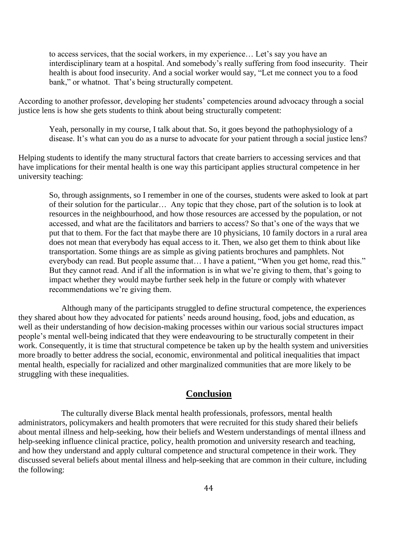to access services, that the social workers, in my experience… Let's say you have an interdisciplinary team at a hospital. And somebody's really suffering from food insecurity. Their health is about food insecurity. And a social worker would say, "Let me connect you to a food bank," or whatnot. That's being structurally competent.

According to another professor, developing her students' competencies around advocacy through a social justice lens is how she gets students to think about being structurally competent:

Yeah, personally in my course, I talk about that. So, it goes beyond the pathophysiology of a disease. It's what can you do as a nurse to advocate for your patient through a social justice lens?

Helping students to identify the many structural factors that create barriers to accessing services and that have implications for their mental health is one way this participant applies structural competence in her university teaching:

So, through assignments, so I remember in one of the courses, students were asked to look at part of their solution for the particular… Any topic that they chose, part of the solution is to look at resources in the neighbourhood, and how those resources are accessed by the population, or not accessed, and what are the facilitators and barriers to access? So that's one of the ways that we put that to them. For the fact that maybe there are 10 physicians, 10 family doctors in a rural area does not mean that everybody has equal access to it. Then, we also get them to think about like transportation. Some things are as simple as giving patients brochures and pamphlets. Not everybody can read. But people assume that… I have a patient, "When you get home, read this." But they cannot read. And if all the information is in what we're giving to them, that's going to impact whether they would maybe further seek help in the future or comply with whatever recommendations we're giving them.

Although many of the participants struggled to define structural competence, the experiences they shared about how they advocated for patients' needs around housing, food, jobs and education, as well as their understanding of how decision-making processes within our various social structures impact people's mental well-being indicated that they were endeavouring to be structurally competent in their work. Consequently, it is time that structural competence be taken up by the health system and universities more broadly to better address the social, economic, environmental and political inequalities that impact mental health, especially for racialized and other marginalized communities that are more likely to be struggling with these inequalities.

## **Conclusion**

The culturally diverse Black mental health professionals, professors, mental health administrators, policymakers and health promoters that were recruited for this study shared their beliefs about mental illness and help-seeking, how their beliefs and Western understandings of mental illness and help-seeking influence clinical practice, policy, health promotion and university research and teaching, and how they understand and apply cultural competence and structural competence in their work. They discussed several beliefs about mental illness and help-seeking that are common in their culture, including the following: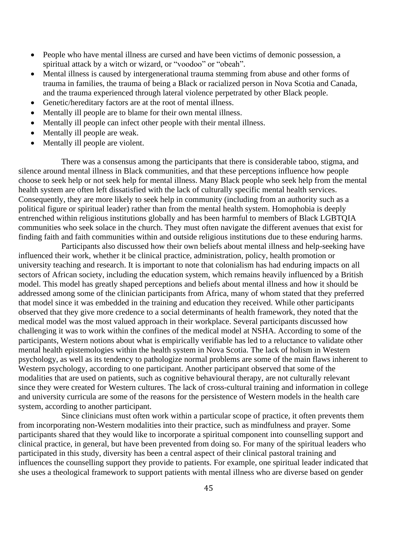- People who have mental illness are cursed and have been victims of demonic possession, a spiritual attack by a witch or wizard, or "voodoo" or "obeah".
- Mental illness is caused by intergenerational trauma stemming from abuse and other forms of trauma in families, the trauma of being a Black or racialized person in Nova Scotia and Canada, and the trauma experienced through lateral violence perpetrated by other Black people.
- Genetic/hereditary factors are at the root of mental illness.
- Mentally ill people are to blame for their own mental illness.
- Mentally ill people can infect other people with their mental illness.
- Mentally ill people are weak.
- Mentally ill people are violent.

There was a consensus among the participants that there is considerable taboo, stigma, and silence around mental illness in Black communities, and that these perceptions influence how people choose to seek help or not seek help for mental illness. Many Black people who seek help from the mental health system are often left dissatisfied with the lack of culturally specific mental health services. Consequently, they are more likely to seek help in community (including from an authority such as a political figure or spiritual leader) rather than from the mental health system. Homophobia is deeply entrenched within religious institutions globally and has been harmful to members of Black LGBTQIA communities who seek solace in the church. They must often navigate the different avenues that exist for finding faith and faith communities within and outside religious institutions due to these enduring harms.

Participants also discussed how their own beliefs about mental illness and help-seeking have influenced their work, whether it be clinical practice, administration, policy, health promotion or university teaching and research. It is important to note that colonialism has had enduring impacts on all sectors of African society, including the education system, which remains heavily influenced by a British model. This model has greatly shaped perceptions and beliefs about mental illness and how it should be addressed among some of the clinician participants from Africa, many of whom stated that they preferred that model since it was embedded in the training and education they received. While other participants observed that they give more credence to a social determinants of health framework, they noted that the medical model was the most valued approach in their workplace. Several participants discussed how challenging it was to work within the confines of the medical model at NSHA. According to some of the participants, Western notions about what is empirically verifiable has led to a reluctance to validate other mental health epistemologies within the health system in Nova Scotia. The lack of holism in Western psychology, as well as its tendency to pathologize normal problems are some of the main flaws inherent to Western psychology, according to one participant. Another participant observed that some of the modalities that are used on patients, such as cognitive behavioural therapy, are not culturally relevant since they were created for Western cultures. The lack of cross-cultural training and information in college and university curricula are some of the reasons for the persistence of Western models in the health care system, according to another participant.

Since clinicians must often work within a particular scope of practice, it often prevents them from incorporating non-Western modalities into their practice, such as mindfulness and prayer. Some participants shared that they would like to incorporate a spiritual component into counselling support and clinical practice, in general, but have been prevented from doing so. For many of the spiritual leaders who participated in this study, diversity has been a central aspect of their clinical pastoral training and influences the counselling support they provide to patients. For example, one spiritual leader indicated that she uses a theological framework to support patients with mental illness who are diverse based on gender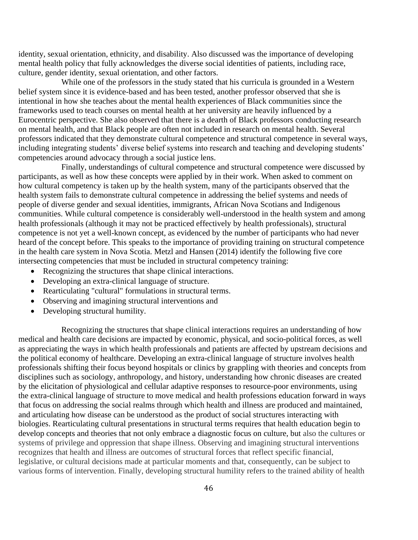identity, sexual orientation, ethnicity, and disability. Also discussed was the importance of developing mental health policy that fully acknowledges the diverse social identities of patients, including race, culture, gender identity, sexual orientation, and other factors.

While one of the professors in the study stated that his curricula is grounded in a Western belief system since it is evidence-based and has been tested, another professor observed that she is intentional in how she teaches about the mental health experiences of Black communities since the frameworks used to teach courses on mental health at her university are heavily influenced by a Eurocentric perspective. She also observed that there is a dearth of Black professors conducting research on mental health, and that Black people are often not included in research on mental health. Several professors indicated that they demonstrate cultural competence and structural competence in several ways, including integrating students' diverse belief systems into research and teaching and developing students' competencies around advocacy through a social justice lens.

Finally, understandings of cultural competence and structural competence were discussed by participants, as well as how these concepts were applied by in their work. When asked to comment on how cultural competency is taken up by the health system, many of the participants observed that the health system fails to demonstrate cultural competence in addressing the belief systems and needs of people of diverse gender and sexual identities, immigrants, African Nova Scotians and Indigenous communities. While cultural competence is considerably well-understood in the health system and among health professionals (although it may not be practiced effectively by health professionals), structural competence is not yet a well-known concept, as evidenced by the number of participants who had never heard of the concept before. This speaks to the importance of providing training on structural competence in the health care system in Nova Scotia. Metzl and Hansen (2014) identify the following five core intersecting competencies that must be included in structural competency training:

- Recognizing the structures that shape clinical interactions.
- Developing an extra-clinical language of structure.
- Rearticulating "cultural" formulations in structural terms.
- Observing and imagining structural interventions and
- Developing structural humility.

Recognizing the structures that shape clinical interactions requires an understanding of how medical and health care decisions are impacted by economic, physical, and socio-political forces, as well as appreciating the ways in which health professionals and patients are affected by upstream decisions and the political economy of healthcare. Developing an extra-clinical language of structure involves health professionals shifting their focus beyond hospitals or clinics by grappling with theories and concepts from disciplines such as sociology, anthropology, and history, understanding how chronic diseases are created by the elicitation of physiological and cellular adaptive responses to resource-poor environments, using the extra-clinical language of structure to move medical and health professions education forward in ways that focus on addressing the social realms through which health and illness are produced and maintained, and articulating how disease can be understood as the product of social structures interacting with biologies. Rearticulating cultural presentations in structural terms requires that health education begin to develop concepts and theories that not only embrace a diagnostic focus on culture, but also the cultures or systems of privilege and oppression that shape illness. Observing and imagining structural interventions recognizes that health and illness are outcomes of structural forces that reflect specific financial, legislative, or cultural decisions made at particular moments and that, consequently, can be subject to various forms of intervention. Finally, developing structural humility refers to the trained ability of health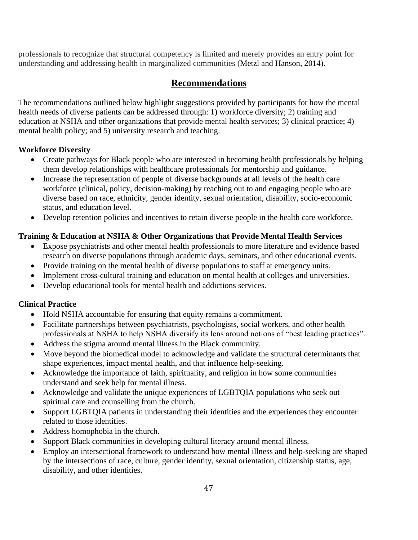professionals to recognize that structural competency is limited and merely provides an entry point for understanding and addressing health in marginalized communities (Metzl and Hanson, 2014).

# **Recommendations**

The recommendations outlined below highlight suggestions provided by participants for how the mental health needs of diverse patients can be addressed through: 1) workforce diversity; 2) training and education at NSHA and other organizations that provide mental health services; 3) clinical practice; 4) mental health policy; and 5) university research and teaching.

## **Workforce Diversity**

- Create pathways for Black people who are interested in becoming health professionals by helping them develop relationships with healthcare professionals for mentorship and guidance.
- Increase the representation of people of diverse backgrounds at all levels of the health care workforce (clinical, policy, decision-making) by reaching out to and engaging people who are diverse based on race, ethnicity, gender identity, sexual orientation, disability, socio-economic status, and education level.
- Develop retention policies and incentives to retain diverse people in the health care workforce.

## **Training & Education at NSHA & Other Organizations that Provide Mental Health Services**

- Expose psychiatrists and other mental health professionals to more literature and evidence based research on diverse populations through academic days, seminars, and other educational events.
- Provide training on the mental health of diverse populations to staff at emergency units.
- Implement cross-cultural training and education on mental health at colleges and universities.
- Develop educational tools for mental health and addictions services.

## **Clinical Practice**

- Hold NSHA accountable for ensuring that equity remains a commitment.
- Facilitate partnerships between psychiatrists, psychologists, social workers, and other health professionals at NSHA to help NSHA diversify its lens around notions of "best leading practices".
- Address the stigma around mental illness in the Black community.
- Move beyond the biomedical model to acknowledge and validate the structural determinants that shape experiences, impact mental health, and that influence help-seeking.
- Acknowledge the importance of faith, spirituality, and religion in how some communities understand and seek help for mental illness.
- Acknowledge and validate the unique experiences of LGBTQIA populations who seek out spiritual care and counselling from the church.
- Support LGBTQIA patients in understanding their identities and the experiences they encounter related to those identities.
- Address homophobia in the church.
- Support Black communities in developing cultural literacy around mental illness.
- Employ an intersectional framework to understand how mental illness and help-seeking are shaped by the intersections of race, culture, gender identity, sexual orientation, citizenship status, age, disability, and other identities.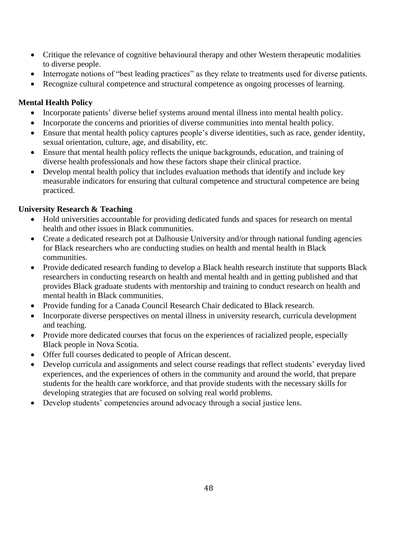- Critique the relevance of cognitive behavioural therapy and other Western therapeutic modalities to diverse people.
- Interrogate notions of "best leading practices" as they relate to treatments used for diverse patients.
- Recognize cultural competence and structural competence as ongoing processes of learning.

## **Mental Health Policy**

- Incorporate patients' diverse belief systems around mental illness into mental health policy.
- Incorporate the concerns and priorities of diverse communities into mental health policy.
- Ensure that mental health policy captures people's diverse identities, such as race, gender identity, sexual orientation, culture, age, and disability, etc.
- Ensure that mental health policy reflects the unique backgrounds, education, and training of diverse health professionals and how these factors shape their clinical practice.
- Develop mental health policy that includes evaluation methods that identify and include key measurable indicators for ensuring that cultural competence and structural competence are being practiced.

## **University Research & Teaching**

- Hold universities accountable for providing dedicated funds and spaces for research on mental health and other issues in Black communities.
- Create a dedicated research pot at Dalhousie University and/or through national funding agencies for Black researchers who are conducting studies on health and mental health in Black communities.
- Provide dedicated research funding to develop a Black health research institute that supports Black researchers in conducting research on health and mental health and in getting published and that provides Black graduate students with mentorship and training to conduct research on health and mental health in Black communities.
- Provide funding for a Canada Council Research Chair dedicated to Black research.
- Incorporate diverse perspectives on mental illness in university research, curricula development and teaching.
- Provide more dedicated courses that focus on the experiences of racialized people, especially Black people in Nova Scotia.
- Offer full courses dedicated to people of African descent.
- Develop curricula and assignments and select course readings that reflect students' everyday lived experiences, and the experiences of others in the community and around the world, that prepare students for the health care workforce, and that provide students with the necessary skills for developing strategies that are focused on solving real world problems.
- Develop students' competencies around advocacy through a social justice lens.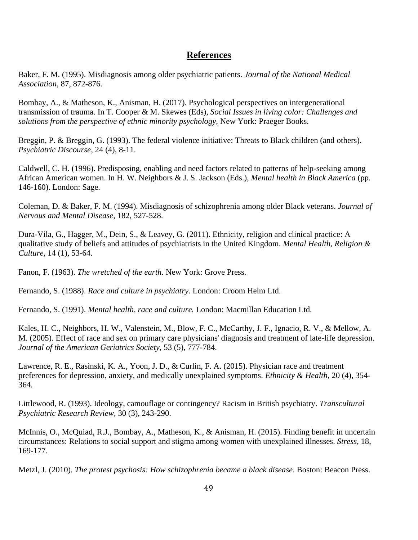## **References**

Baker, F. M. (1995). Misdiagnosis among older psychiatric patients. *Journal of the National Medical Association*, 87, 872-876.

Bombay, A., & Matheson, K., Anisman, H. (2017). Psychological perspectives on intergenerational transmission of trauma. In T. Cooper & M. Skewes (Eds), *Social Issues in living color: Challenges and solutions from the perspective of ethnic minority psychology,* New York: Praeger Books.

Breggin, P. & Breggin, G. (1993). The federal violence initiative: Threats to Black children (and others). *Psychiatric Discourse*, 24 (4), 8-11.

Caldwell, C. H. (1996). Predisposing, enabling and need factors related to patterns of help-seeking among African American women. In H. W. Neighbors & J. S. Jackson (Eds.), *Mental health in Black America* (pp. 146-160). London: Sage.

Coleman, D. & Baker, F. M. (1994). Misdiagnosis of schizophrenia among older Black veterans. *Journal of Nervous and Mental Disease,* 182, 527-528.

Dura-Vila, G., Hagger, M., Dein, S., & Leavey, G. (2011). Ethnicity, religion and clinical practice: A qualitative study of beliefs and attitudes of psychiatrists in the United Kingdom. *Mental Health, Religion & Culture,* 14 (1), 53-64.

Fanon, F. (1963). *The wretched of the earth.* New York: Grove Press.

Fernando, S. (1988). *Race and culture in psychiatry.* London: Croom Helm Ltd.

Fernando, S. (1991). *Mental health, race and culture.* London: Macmillan Education Ltd.

Kales, H. C., Neighbors, H. W., Valenstein, M., Blow, F. C., McCarthy, J. F., Ignacio, R. V., & Mellow, A. M. (2005). Effect of race and sex on primary care physicians' diagnosis and treatment of late-life depression. *Journal of the American Geriatrics Society,* 53 (5), 777-784.

Lawrence, R. E., Rasinski, K. A., Yoon, J. D., & Curlin, F. A. (2015). Physician race and treatment preferences for depression, anxiety, and medically unexplained symptoms. *Ethnicity & Health*, 20 (4), 354- 364.

Littlewood, R. (1993). Ideology, camouflage or contingency? Racism in British psychiatry. *Transcultural Psychiatric Research Review,* 30 (3), 243-290.

McInnis, O., McQuiad, R.J., Bombay, A., Matheson, K., & Anisman, H. (2015). Finding benefit in uncertain circumstances: Relations to social support and stigma among women with unexplained illnesses. *Stress,* 18, 169-177.

Metzl, J. (2010). *The protest psychosis: How schizophrenia became a black disease*. Boston: Beacon Press.